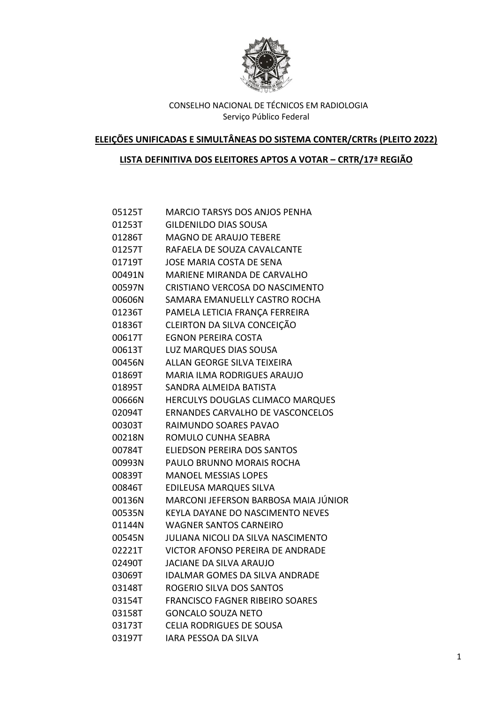

**ELEIÇÕES UNIFICADAS E SIMULTÂNEAS DO SISTEMA CONTER/CRTRs (PLEITO 2022)**

# **LISTA DEFINITIVA DOS ELEITORES APTOS A VOTAR – CRTR/17ª REGIÃO**

| 05125T | <b>MARCIO TARSYS DOS ANJOS PENHA</b>    |
|--------|-----------------------------------------|
| 01253T | <b>GILDENILDO DIAS SOUSA</b>            |
| 01286T | <b>MAGNO DE ARAUJO TEBERE</b>           |
| 01257T | RAFAELA DE SOUZA CAVALCANTE             |
| 01719T | <b>JOSE MARIA COSTA DE SENA</b>         |
| 00491N | <b>MARIENE MIRANDA DE CARVALHO</b>      |
| 00597N | CRISTIANO VERCOSA DO NASCIMENTO         |
| 00606N | SAMARA EMANUELLY CASTRO ROCHA           |
| 01236T | PAMELA LETICIA FRANÇA FERREIRA          |
| 01836T | CLEIRTON DA SILVA CONCEIÇÃO             |
| 00617T | <b>EGNON PEREIRA COSTA</b>              |
| 00613T | <b>LUZ MARQUES DIAS SOUSA</b>           |
| 00456N | ALLAN GEORGE SILVA TEIXEIRA             |
| 01869T | <b>MARIA ILMA RODRIGUES ARAUJO</b>      |
| 01895T | SANDRA ALMEIDA BATISTA                  |
| 00666N | HERCULYS DOUGLAS CLIMACO MARQUES        |
| 02094T | <b>ERNANDES CARVALHO DE VASCONCELOS</b> |
| 00303T | RAIMUNDO SOARES PAVAO                   |
| 00218N | ROMULO CUNHA SEABRA                     |
| 00784T | ELIEDSON PEREIRA DOS SANTOS             |
| 00993N | PAULO BRUNNO MORAIS ROCHA               |
| 00839T | <b>MANOEL MESSIAS LOPES</b>             |
| 00846T | EDILEUSA MARQUES SILVA                  |
| 00136N | MARCONI JEFERSON BARBOSA MAIA JÚNIOR    |
| 00535N | KEYLA DAYANE DO NASCIMENTO NEVES        |
| 01144N | <b>WAGNER SANTOS CARNEIRO</b>           |
| 00545N | JULIANA NICOLI DA SILVA NASCIMENTO      |
| 02221T | VICTOR AFONSO PEREIRA DE ANDRADE        |
| 02490T | <b>JACIANE DA SILVA ARAUJO</b>          |
| 03069T | <b>IDALMAR GOMES DA SILVA ANDRADE</b>   |
| 03148T | ROGERIO SILVA DOS SANTOS                |
| 03154T | <b>FRANCISCO FAGNER RIBEIRO SOARES</b>  |
| 03158T | <b>GONCALO SOUZA NETO</b>               |
| 03173T | <b>CELIA RODRIGUES DE SOUSA</b>         |
| 03197T | IARA PESSOA DA SILVA                    |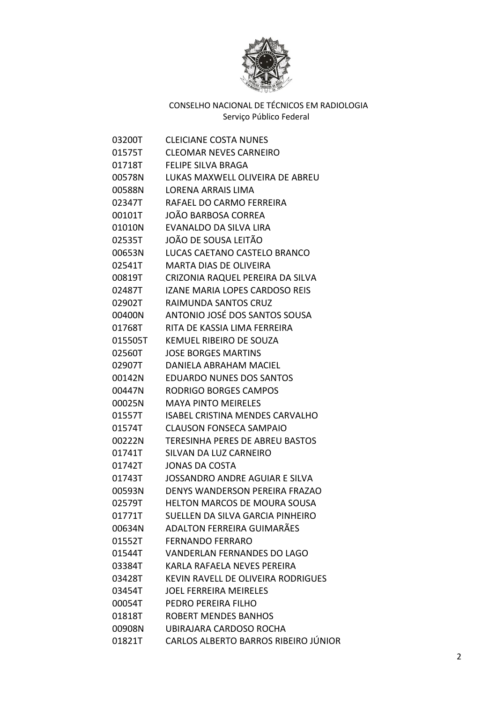

| 03200T  | <b>CLEICIANE COSTA NUNES</b>           |
|---------|----------------------------------------|
| 01575T  | <b>CLEOMAR NEVES CARNEIRO</b>          |
| 01718T  | <b>FELIPE SILVA BRAGA</b>              |
| 00578N  | LUKAS MAXWELL OLIVEIRA DE ABREU        |
| 00588N  | <b>LORENA ARRAIS LIMA</b>              |
| 02347T  | RAFAEL DO CARMO FERREIRA               |
| 00101T  | JOÃO BARBOSA CORREA                    |
| 01010N  | EVANALDO DA SILVA LIRA                 |
| 02535T  | JOÃO DE SOUSA LEITÃO                   |
| 00653N  | LUCAS CAETANO CASTELO BRANCO           |
| 02541T  | MARTA DIAS DE OLIVEIRA                 |
| 00819T  | CRIZONIA RAQUEL PEREIRA DA SILVA       |
| 02487T  | <b>IZANE MARIA LOPES CARDOSO REIS</b>  |
| 02902T  | RAIMUNDA SANTOS CRUZ                   |
| 00400N  | ANTONIO JOSÉ DOS SANTOS SOUSA          |
| 01768T  | RITA DE KASSIA LIMA FERREIRA           |
| 015505T | <b>KEMUEL RIBEIRO DE SOUZA</b>         |
| 02560T  | <b>JOSE BORGES MARTINS</b>             |
| 02907T  | DANIELA ABRAHAM MACIEL                 |
| 00142N  | <b>EDUARDO NUNES DOS SANTOS</b>        |
| 00447N  | <b>RODRIGO BORGES CAMPOS</b>           |
| 00025N  | <b>MAYA PINTO MEIRELES</b>             |
| 01557T  | <b>ISABEL CRISTINA MENDES CARVALHO</b> |
| 01574T  | <b>CLAUSON FONSECA SAMPAIO</b>         |
| 00222N  | <b>TERESINHA PERES DE ABREU BASTOS</b> |
| 01741T  | SILVAN DA LUZ CARNEIRO                 |
| 01742T  | <b>JONAS DA COSTA</b>                  |
| 01743T  | <b>JOSSANDRO ANDRE AGUIAR E SILVA</b>  |
| 00593N  | DENYS WANDERSON PEREIRA FRAZAO         |
| 02579T  | HELTON MARCOS DE MOURA SOUSA           |
| 01771T  | SUELLEN DA SILVA GARCIA PINHEIRO       |
| 00634N  | ADALTON FERREIRA GUIMARÃES             |
| 01552T  | <b>FERNANDO FERRARO</b>                |
| 01544T  | <b>VANDERLAN FERNANDES DO LAGO</b>     |
| 03384T  | KARLA RAFAELA NEVES PEREIRA            |
| 03428T  | KEVIN RAVELL DE OLIVEIRA RODRIGUES     |
| 03454T  | <b>JOEL FERREIRA MEIRELES</b>          |
| 00054T  | PEDRO PEREIRA FILHO                    |
| 01818T  | <b>ROBERT MENDES BANHOS</b>            |
| 00908N  | UBIRAJARA CARDOSO ROCHA                |
| 01821T  | CARLOS ALBERTO BARROS RIBEIRO JÚNIOR   |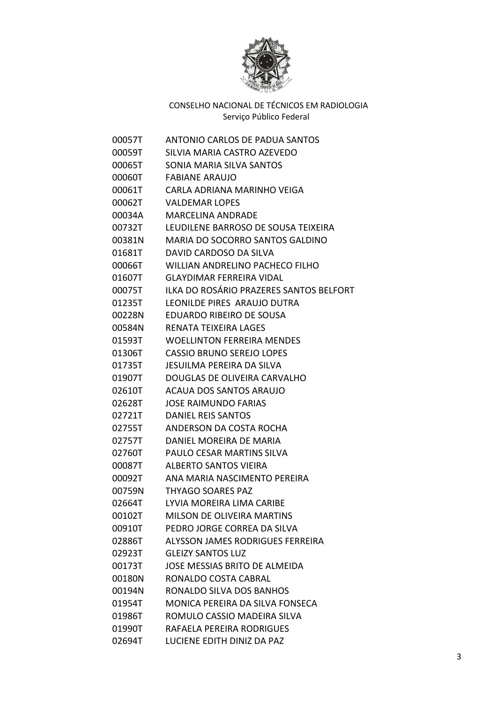

| 00057T | <b>ANTONIO CARLOS DE PADUA SANTOS</b>   |
|--------|-----------------------------------------|
| 00059T | SILVIA MARIA CASTRO AZEVEDO             |
| 00065T | SONIA MARIA SILVA SANTOS                |
| 00060T | <b>FABIANE ARAUJO</b>                   |
| 00061T | CARLA ADRIANA MARINHO VEIGA             |
| 00062T | <b>VALDEMAR LOPES</b>                   |
| 00034A | <b>MARCELINA ANDRADE</b>                |
| 00732T | LEUDILENE BARROSO DE SOUSA TEIXEIRA     |
| 00381N | MARIA DO SOCORRO SANTOS GALDINO         |
| 01681T | DAVID CARDOSO DA SILVA                  |
| 00066T | WILLIAN ANDRELINO PACHECO FILHO         |
| 01607T | <b>GLAYDIMAR FERREIRA VIDAL</b>         |
| 00075T | ILKA DO ROSÁRIO PRAZERES SANTOS BELFORT |
| 01235T | LEONILDE PIRES ARAUJO DUTRA             |
| 00228N | EDUARDO RIBEIRO DE SOUSA                |
| 00584N | RENATA TEIXEIRA LAGES                   |
| 01593T | <b>WOELLINTON FERREIRA MENDES</b>       |
| 01306T | <b>CASSIO BRUNO SEREJO LOPES</b>        |
| 01735T | JESUILMA PEREIRA DA SILVA               |
| 01907T | DOUGLAS DE OLIVEIRA CARVALHO            |
| 02610T | <b>ACAUA DOS SANTOS ARAUJO</b>          |
| 02628T | <b>JOSE RAIMUNDO FARIAS</b>             |
| 02721T | DANIEL REIS SANTOS                      |
| 02755T | ANDERSON DA COSTA ROCHA                 |
| 02757T | DANIEL MOREIRA DE MARIA                 |
| 02760T | PAULO CESAR MARTINS SILVA               |
| 00087T | <b>ALBERTO SANTOS VIEIRA</b>            |
| 00092T | ANA MARIA NASCIMENTO PEREIRA            |
| 00759N | <b>THYAGO SOARES PAZ</b>                |
| 02664T | LYVIA MOREIRA LIMA CARIBE               |
| 00102T | MILSON DE OLIVEIRA MARTINS              |
| 00910T | PEDRO JORGE CORREA DA SILVA             |
| 02886T | ALYSSON JAMES RODRIGUES FERREIRA        |
| 02923T | <b>GLEIZY SANTOS LUZ</b>                |
| 00173T | JOSE MESSIAS BRITO DE ALMEIDA           |
| 00180N | RONALDO COSTA CABRAL                    |
| 00194N | RONALDO SILVA DOS BANHOS                |
| 01954T | MONICA PEREIRA DA SILVA FONSECA         |
| 01986T | ROMULO CASSIO MADEIRA SILVA             |
| 01990T | RAFAELA PEREIRA RODRIGUES               |
| 02694T | LUCIENE EDITH DINIZ DA PAZ              |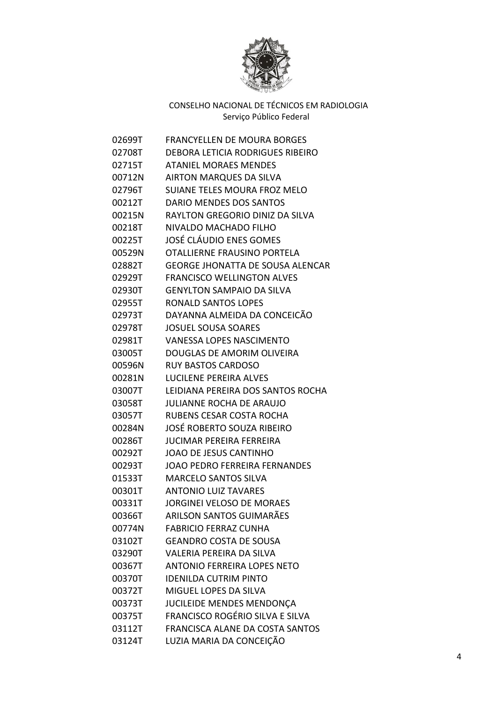

| 02699T | <b>FRANCYELLEN DE MOURA BORGES</b>      |
|--------|-----------------------------------------|
| 02708T | DEBORA LETICIA RODRIGUES RIBEIRO        |
| 02715T | <b>ATANIEL MORAES MENDES</b>            |
| 00712N | <b>AIRTON MARQUES DA SILVA</b>          |
| 02796T | <b>SUIANE TELES MOURA FROZ MELO</b>     |
| 00212T | DARIO MENDES DOS SANTOS                 |
| 00215N | RAYLTON GREGORIO DINIZ DA SILVA         |
| 00218T | NIVALDO MACHADO FILHO                   |
| 00225T | JOSÉ CLÁUDIO ENES GOMES                 |
| 00529N | OTALLIERNE FRAUSINO PORTELA             |
| 02882T | <b>GEORGE JHONATTA DE SOUSA ALENCAR</b> |
| 02929T | <b>FRANCISCO WELLINGTON ALVES</b>       |
| 02930T | <b>GENYLTON SAMPAIO DA SILVA</b>        |
| 02955T | <b>RONALD SANTOS LOPES</b>              |
| 02973T | DAYANNA ALMEIDA DA CONCEICÃO            |
| 02978T | <b>JOSUEL SOUSA SOARES</b>              |
| 02981T | <b>VANESSA LOPES NASCIMENTO</b>         |
| 03005T | DOUGLAS DE AMORIM OLIVEIRA              |
| 00596N | <b>RUY BASTOS CARDOSO</b>               |
| 00281N | LUCILENE PEREIRA ALVES                  |
| 03007T | LEIDIANA PEREIRA DOS SANTOS ROCHA       |
| 03058T | JULIANNE ROCHA DE ARAUJO                |
| 03057T | RUBENS CESAR COSTA ROCHA                |
| 00284N | JOSÉ ROBERTO SOUZA RIBEIRO              |
| 00286T | <b>JUCIMAR PEREIRA FERREIRA</b>         |
| 00292T | <b>JOAO DE JESUS CANTINHO</b>           |
| 00293T | <b>JOAO PEDRO FERREIRA FERNANDES</b>    |
| 01533T | <b>MARCELO SANTOS SILVA</b>             |
| 00301T | <b>ANTONIO LUIZ TAVARES</b>             |
| 00331T | <b>JORGINEI VELOSO DE MORAES</b>        |
| 00366T | <b>ARILSON SANTOS GUIMARÃES</b>         |
| 00774N | <b>FABRICIO FERRAZ CUNHA</b>            |
| 03102T | <b>GEANDRO COSTA DE SOUSA</b>           |
| 03290T | <b>VALERIA PEREIRA DA SILVA</b>         |
| 00367T | <b>ANTONIO FERREIRA LOPES NETO</b>      |
| 00370T | <b>IDENILDA CUTRIM PINTO</b>            |
| 00372T | MIGUEL LOPES DA SILVA                   |
| 00373T | JUCILEIDE MENDES MENDONÇA               |
| 00375T | FRANCISCO ROGÉRIO SILVA E SILVA         |
| 03112T | FRANCISCA ALANE DA COSTA SANTOS         |
| 03124T | LUZIA MARIA DA CONCEIÇÃO                |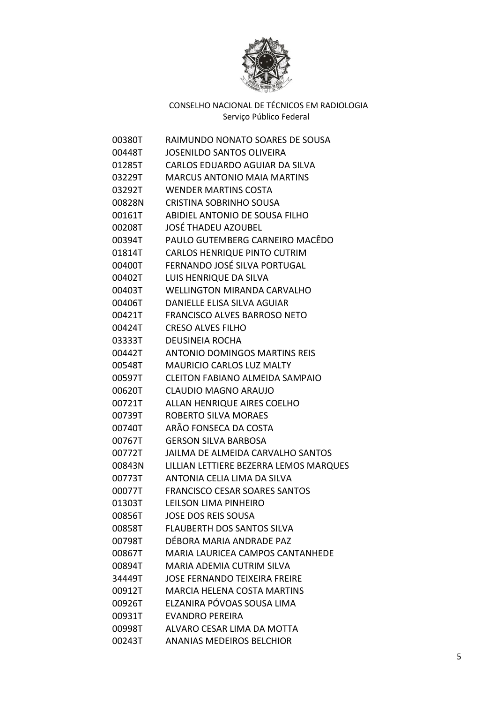

| 00380T | RAIMUNDO NONATO SOARES DE SOUSA          |
|--------|------------------------------------------|
| 00448T | <b>JOSENILDO SANTOS OLIVEIRA</b>         |
| 01285T | CARLOS EDUARDO AGUIAR DA SILVA           |
| 03229T | <b>MARCUS ANTONIO MAIA MARTINS</b>       |
| 03292T | <b>WENDER MARTINS COSTA</b>              |
| 00828N | <b>CRISTINA SOBRINHO SOUSA</b>           |
| 00161T | ABIDIEL ANTONIO DE SOUSA FILHO           |
| 00208T | <b>JOSÉ THADEU AZOUBEL</b>               |
| 00394T | PAULO GUTEMBERG CARNEIRO MACÊDO          |
| 01814T | <b>CARLOS HENRIQUE PINTO CUTRIM</b>      |
| 00400T | FERNANDO JOSÉ SILVA PORTUGAL             |
| 00402T | LUIS HENRIQUE DA SILVA                   |
| 00403T | <b>WELLINGTON MIRANDA CARVALHO</b>       |
| 00406T | DANIELLE ELISA SILVA AGUIAR              |
| 00421T | <b>FRANCISCO ALVES BARROSO NETO</b>      |
| 00424T | <b>CRESO ALVES FILHO</b>                 |
| 03333T | <b>DEUSINEIA ROCHA</b>                   |
| 00442T | <b>ANTONIO DOMINGOS MARTINS REIS</b>     |
| 00548T | <b>MAURICIO CARLOS LUZ MALTY</b>         |
| 00597T | <b>CLEITON FABIANO ALMEIDA SAMPAIO</b>   |
| 00620T | <b>CLAUDIO MAGNO ARAUJO</b>              |
| 00721T | ALLAN HENRIQUE AIRES COELHO              |
| 00739T | ROBERTO SILVA MORAES                     |
| 00740T | ARÃO FONSECA DA COSTA                    |
| 00767T | <b>GERSON SILVA BARBOSA</b>              |
| 00772T | <b>JAILMA DE ALMEIDA CARVALHO SANTOS</b> |
| 00843N | LILLIAN LETTIERE BEZERRA LEMOS MARQUES   |
| 00773T | ANTONIA CELIA LIMA DA SILVA              |
| 00077T | <b>FRANCISCO CESAR SOARES SANTOS</b>     |
| 01303T | LEILSON LIMA PINHEIRO                    |
| 00856T | <b>JOSE DOS REIS SOUSA</b>               |
| 00858T | <b>FLAUBERTH DOS SANTOS SILVA</b>        |
| 00798T | DÉBORA MARIA ANDRADE PAZ                 |
| 00867T | <b>MARIA LAURICEA CAMPOS CANTANHEDE</b>  |
| 00894T | <b>MARIA ADEMIA CUTRIM SILVA</b>         |
| 34449T | <b>JOSE FERNANDO TEIXEIRA FREIRE</b>     |
| 00912T | <b>MARCIA HELENA COSTA MARTINS</b>       |
| 00926T | ELZANIRA PÓVOAS SOUSA LIMA               |
| 00931T | <b>EVANDRO PEREIRA</b>                   |
| 00998T | ALVARO CESAR LIMA DA MOTTA               |
| 00243T | <b>ANANIAS MEDEIROS BELCHIOR</b>         |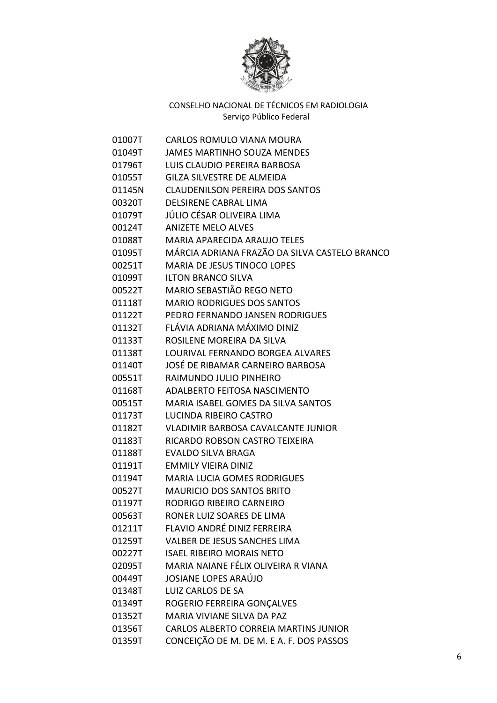

| 01007T | <b>CARLOS ROMULO VIANA MOURA</b>              |
|--------|-----------------------------------------------|
| 01049T | <b>JAMES MARTINHO SOUZA MENDES</b>            |
| 01796T | LUIS CLAUDIO PEREIRA BARBOSA                  |
| 01055T | <b>GILZA SILVESTRE DE ALMEIDA</b>             |
| 01145N | <b>CLAUDENILSON PEREIRA DOS SANTOS</b>        |
| 00320T | <b>DELSIRENE CABRAL LIMA</b>                  |
| 01079T | JÚLIO CÉSAR OLIVEIRA LIMA                     |
| 00124T | <b>ANIZETE MELO ALVES</b>                     |
| 01088T | <b>MARIA APARECIDA ARAUJO TELES</b>           |
| 01095T | MÁRCIA ADRIANA FRAZÃO DA SILVA CASTELO BRANCO |
| 00251T | MARIA DE JESUS TINOCO LOPES                   |
| 01099T | <b>ILTON BRANCO SILVA</b>                     |
| 00522T | MARIO SEBASTIÃO REGO NETO                     |
| 01118T | <b>MARIO RODRIGUES DOS SANTOS</b>             |
| 01122T | PEDRO FERNANDO JANSEN RODRIGUES               |
| 01132T | FLÁVIA ADRIANA MÁXIMO DINIZ                   |
| 01133T | ROSILENE MOREIRA DA SILVA                     |
| 01138T | LOURIVAL FERNANDO BORGEA ALVARES              |
| 01140T | JOSÉ DE RIBAMAR CARNEIRO BARBOSA              |
| 00551T | RAIMUNDO JULIO PINHEIRO                       |
| 01168T | ADALBERTO FEITOSA NASCIMENTO                  |
| 00515T | <b>MARIA ISABEL GOMES DA SILVA SANTOS</b>     |
| 01173T | LUCINDA RIBEIRO CASTRO                        |
| 01182T | <b>VLADIMIR BARBOSA CAVALCANTE JUNIOR</b>     |
| 01183T | RICARDO ROBSON CASTRO TEIXEIRA                |
| 01188T | EVALDO SILVA BRAGA                            |
| 01191T | <b>EMMILY VIEIRA DINIZ</b>                    |
| 01194T | <b>MARIA LUCIA GOMES RODRIGUES</b>            |
| 00527T | <b>MAURICIO DOS SANTOS BRITO</b>              |
| 01197T | RODRIGO RIBEIRO CARNEIRO                      |
| 00563T | RONER LUIZ SOARES DE LIMA                     |
| 01211T | <b>FLAVIO ANDRÉ DINIZ FERREIRA</b>            |
| 01259T | VALBER DE JESUS SANCHES LIMA                  |
| 00227T | <b>ISAEL RIBEIRO MORAIS NETO</b>              |
| 02095T | MARIA NAIANE FÉLIX OLIVEIRA R VIANA           |
| 00449T | <b>JOSIANE LOPES ARAÚJO</b>                   |
| 01348T | <b>LUIZ CARLOS DE SA</b>                      |
| 01349T | ROGERIO FERREIRA GONÇALVES                    |
| 01352T | MARIA VIVIANE SILVA DA PAZ                    |
| 01356T | CARLOS ALBERTO CORREIA MARTINS JUNIOR         |
| 01359T | CONCEIÇÃO DE M. DE M. E A. F. DOS PASSOS      |
|        |                                               |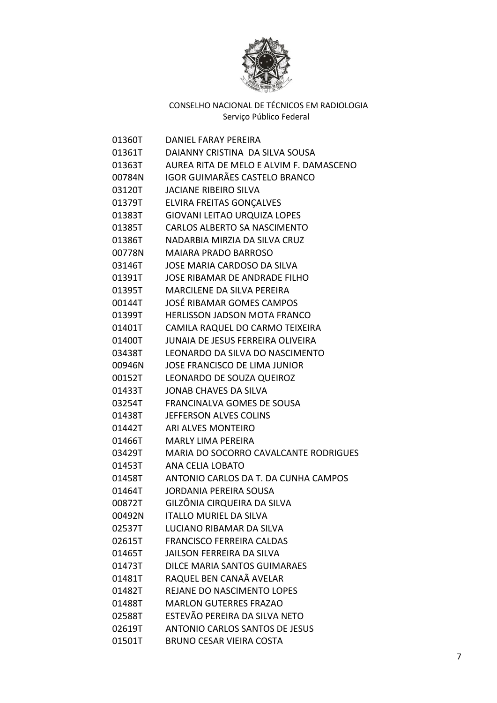

| 01360T | DANIEL FARAY PEREIRA                    |
|--------|-----------------------------------------|
| 01361T | DAIANNY CRISTINA DA SILVA SOUSA         |
| 01363T | AUREA RITA DE MELO E ALVIM F. DAMASCENO |
| 00784N | <b>IGOR GUIMARÃES CASTELO BRANCO</b>    |
| 03120T | <b>JACIANE RIBEIRO SILVA</b>            |
| 01379T | <b>ELVIRA FREITAS GONÇALVES</b>         |
| 01383T | <b>GIOVANI LEITAO URQUIZA LOPES</b>     |
| 01385T | CARLOS ALBERTO SA NASCIMENTO            |
| 01386T | NADARBIA MIRZIA DA SILVA CRUZ           |
| 00778N | <b>MAIARA PRADO BARROSO</b>             |
| 03146T | JOSE MARIA CARDOSO DA SILVA             |
| 01391T | JOSE RIBAMAR DE ANDRADE FILHO           |
| 01395T | <b>MARCILENE DA SILVA PEREIRA</b>       |
| 00144T | JOSÉ RIBAMAR GOMES CAMPOS               |
| 01399T | <b>HERLISSON JADSON MOTA FRANCO</b>     |
| 01401T | CAMILA RAQUEL DO CARMO TEIXEIRA         |
| 01400T | JUNAIA DE JESUS FERREIRA OLIVEIRA       |
| 03438T | LEONARDO DA SILVA DO NASCIMENTO         |
| 00946N | <b>JOSE FRANCISCO DE LIMA JUNIOR</b>    |
| 00152T | LEONARDO DE SOUZA QUEIROZ               |
| 01433T | <b>JONAB CHAVES DA SILVA</b>            |
| 03254T | <b>FRANCINALVA GOMES DE SOUSA</b>       |
| 01438T | JEFFERSON ALVES COLINS                  |
| 01442T | <b>ARI ALVES MONTEIRO</b>               |
| 01466T | <b>MARLY LIMA PEREIRA</b>               |
| 03429T | MARIA DO SOCORRO CAVALCANTE RODRIGUES   |
| 01453T | ANA CELIA LOBATO                        |
| 01458T | ANTONIO CARLOS DA T. DA CUNHA CAMPOS    |
| 01464T | <b>JORDANIA PEREIRA SOUSA</b>           |
| 00872T | GILZÔNIA CIRQUEIRA DA SILVA             |
| 00492N | <b>ITALLO MURIEL DA SILVA</b>           |
| 02537T | <b>LUCIANO RIBAMAR DA SILVA</b>         |
| 02615T | <b>FRANCISCO FERREIRA CALDAS</b>        |
| 01465T | JAILSON FERREIRA DA SILVA               |
| 01473T | <b>DILCE MARIA SANTOS GUIMARAES</b>     |
| 01481T | RAQUEL BEN CANAÃ AVELAR                 |
| 01482T | REJANE DO NASCIMENTO LOPES              |
| 01488T | <b>MARLON GUTERRES FRAZAO</b>           |
| 02588T | ESTEVÃO PEREIRA DA SILVA NETO           |
| 02619T | <b>ANTONIO CARLOS SANTOS DE JESUS</b>   |
| 01501T | <b>BRUNO CESAR VIEIRA COSTA</b>         |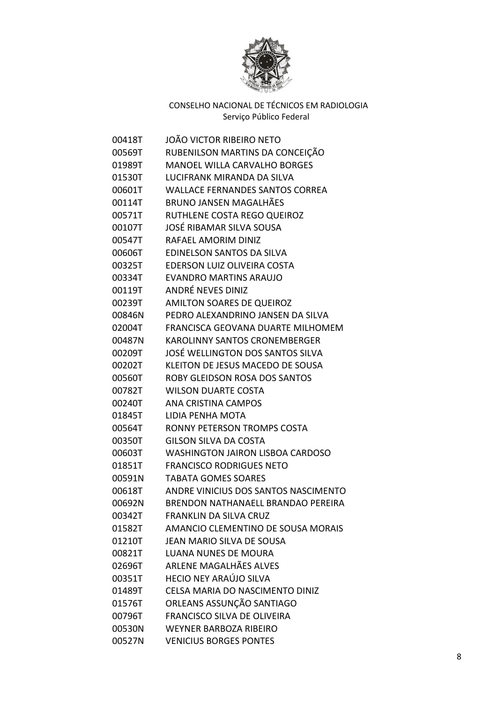

| 00418T | JOÃO VICTOR RIBEIRO NETO                |
|--------|-----------------------------------------|
| 00569T | RUBENILSON MARTINS DA CONCEIÇÃO         |
| 01989T | <b>MANOEL WILLA CARVALHO BORGES</b>     |
| 01530T | LUCIFRANK MIRANDA DA SILVA              |
| 00601T | <b>WALLACE FERNANDES SANTOS CORREA</b>  |
| 00114T | <b>BRUNO JANSEN MAGALHÃES</b>           |
| 00571T | RUTHLENE COSTA REGO QUEIROZ             |
| 00107T | JOSÉ RIBAMAR SILVA SOUSA                |
| 00547T | RAFAEL AMORIM DINIZ                     |
| 00606T | <b>EDINELSON SANTOS DA SILVA</b>        |
| 00325T | EDERSON LUIZ OLIVEIRA COSTA             |
| 00334T | <b>EVANDRO MARTINS ARAUJO</b>           |
| 00119T | <b>ANDRÉ NEVES DINIZ</b>                |
| 00239T | <b>AMILTON SOARES DE QUEIROZ</b>        |
| 00846N | PEDRO ALEXANDRINO JANSEN DA SILVA       |
| 02004T | FRANCISCA GEOVANA DUARTE MILHOMEM       |
| 00487N | <b>KAROLINNY SANTOS CRONEMBERGER</b>    |
| 00209T | JOSÉ WELLINGTON DOS SANTOS SILVA        |
| 00202T | KLEITON DE JESUS MACEDO DE SOUSA        |
| 00560T | ROBY GLEIDSON ROSA DOS SANTOS           |
| 00782T | <b>WILSON DUARTE COSTA</b>              |
| 00240T | ANA CRISTINA CAMPOS                     |
| 01845T | LIDIA PENHA MOTA                        |
| 00564T | RONNY PETERSON TROMPS COSTA             |
| 00350T | <b>GILSON SILVA DA COSTA</b>            |
| 00603T | <b>WASHINGTON JAIRON LISBOA CARDOSO</b> |
| 01851T | <b>FRANCISCO RODRIGUES NETO</b>         |
| 00591N | <b>TABATA GOMES SOARES</b>              |
| 00618T | ANDRE VINICIUS DOS SANTOS NASCIMENTO    |
| 00692N | BRENDON NATHANAELL BRANDAO PEREIRA      |
| 00342T | <b>FRANKLIN DA SILVA CRUZ</b>           |
| 01582T | AMANCIO CLEMENTINO DE SOUSA MORAIS      |
| 01210T | JEAN MARIO SILVA DE SOUSA               |
| 00821T | <b>LUANA NUNES DE MOURA</b>             |
| 02696T | ARLENE MAGALHÃES ALVES                  |
| 00351T | HECIO NEY ARAÚJO SILVA                  |
| 01489T | CELSA MARIA DO NASCIMENTO DINIZ         |
| 01576T | ORLEANS ASSUNÇÃO SANTIAGO               |
| 00796T | <b>FRANCISCO SILVA DE OLIVEIRA</b>      |
| 00530N | <b>WEYNER BARBOZA RIBEIRO</b>           |
| 00527N | <b>VENICIUS BORGES PONTES</b>           |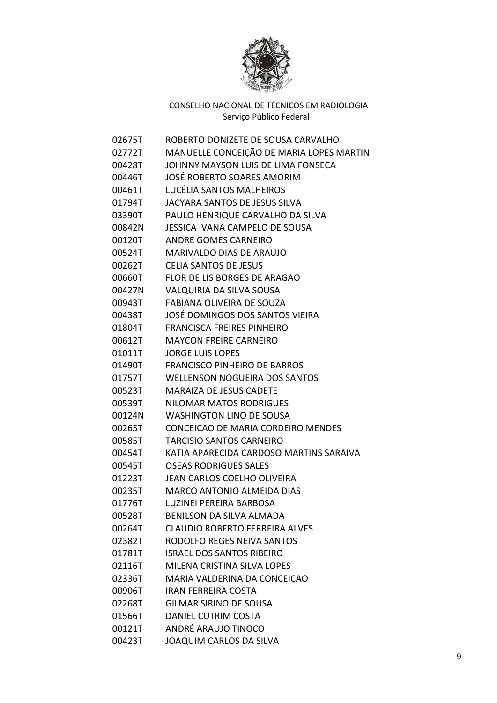

| 02675T | ROBERTO DONIZETE DE SOUSA CARVALHO       |
|--------|------------------------------------------|
| 02772T | MANUELLE CONCEIÇÃO DE MARIA LOPES MARTIN |
| 00428T | JOHNNY MAYSON LUIS DE LIMA FONSECA       |
| 00446T | <b>JOSÉ ROBERTO SOARES AMORIM</b>        |
| 00461T | LUCÉLIA SANTOS MALHEIROS                 |
| 01794T | JACYARA SANTOS DE JESUS SILVA            |
| 03390T | PAULO HENRIQUE CARVALHO DA SILVA         |
| 00842N | <b>JESSICA IVANA CAMPELO DE SOUSA</b>    |
| 00120T | <b>ANDRE GOMES CARNEIRO</b>              |
| 00524T | MARIVALDO DIAS DE ARAUJO                 |
| 00262T | <b>CELIA SANTOS DE JESUS</b>             |
| 00660T | FLOR DE LIS BORGES DE ARAGAO             |
| 00427N | <b>VALQUIRIA DA SILVA SOUSA</b>          |
| 00943T | FABIANA OLIVEIRA DE SOUZA                |
| 00438T | JOSÉ DOMINGOS DOS SANTOS VIEIRA          |
| 01804T | <b>FRANCISCA FREIRES PINHEIRO</b>        |
| 00612T | <b>MAYCON FREIRE CARNEIRO</b>            |
| 01011T | <b>JORGE LUIS LOPES</b>                  |
| 01490T | <b>FRANCISCO PINHEIRO DE BARROS</b>      |
| 01757T | <b>WELLENSON NOGUEIRA DOS SANTOS</b>     |
| 00523T | <b>MARAIZA DE JESUS CADETE</b>           |
| 00539T | <b>NILOMAR MATOS RODRIGUES</b>           |
| 00124N | <b>WASHINGTON LINO DE SOUSA</b>          |
| 00265T | CONCEICAO DE MARIA CORDEIRO MENDES       |
| 00585T | <b>TARCISIO SANTOS CARNEIRO</b>          |
| 00454T | KATIA APARECIDA CARDOSO MARTINS SARAIVA  |
| 00545T | <b>OSEAS RODRIGUES SALES</b>             |
| 01223T | <b>JEAN CARLOS COELHO OLIVEIRA</b>       |
| 00235T | MARCO ANTONIO ALMEIDA DIAS               |
| 01776T | LUZINEI PEREIRA BARBOSA                  |
| 00528T | <b>BENILSON DA SILVA ALMADA</b>          |
| 00264T | <b>CLAUDIO ROBERTO FERREIRA ALVES</b>    |
| 02382T | RODOLFO REGES NEIVA SANTOS               |
| 01781T | <b>ISRAEL DOS SANTOS RIBEIRO</b>         |
| 02116T | MILENA CRISTINA SILVA LOPES              |
| 02336T | MARIA VALDERINA DA CONCEIÇÃO             |
| 00906T | <b>IRAN FERREIRA COSTA</b>               |
| 02268T | <b>GILMAR SIRINO DE SOUSA</b>            |
| 01566T | DANIEL CUTRIM COSTA                      |
| 00121T | ANDRÉ ARAUJO TINOCO                      |
| 00423T | JOAQUIM CARLOS DA SILVA                  |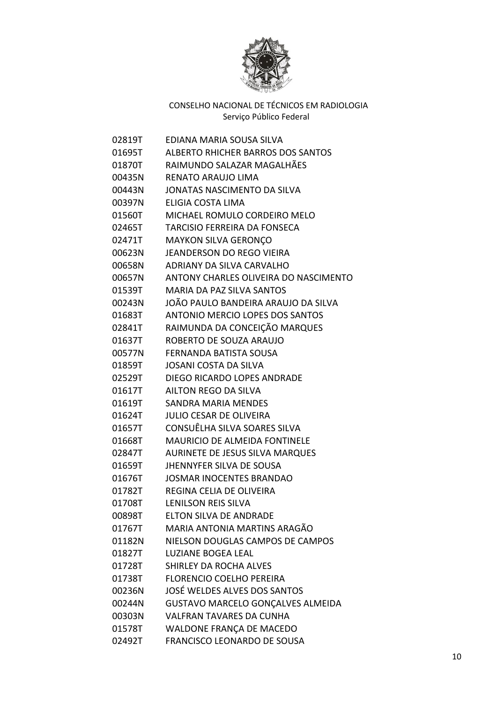

| 02819T | EDIANA MARIA SOUSA SILVA               |
|--------|----------------------------------------|
| 01695T | ALBERTO RHICHER BARROS DOS SANTOS      |
| 01870T | RAIMUNDO SALAZAR MAGALHÃES             |
| 00435N | <b>RENATO ARAUJO LIMA</b>              |
| 00443N | <b>JONATAS NASCIMENTO DA SILVA</b>     |
| 00397N | ELIGIA COSTA LIMA                      |
| 01560T | MICHAEL ROMULO CORDEIRO MELO           |
| 02465T | <b>TARCISIO FERREIRA DA FONSECA</b>    |
| 02471T | <b>MAYKON SILVA GERONÇO</b>            |
| 00623N | <b>JEANDERSON DO REGO VIEIRA</b>       |
| 00658N | ADRIANY DA SILVA CARVALHO              |
| 00657N | ANTONY CHARLES OLIVEIRA DO NASCIMENTO  |
| 01539T | <b>MARIA DA PAZ SILVA SANTOS</b>       |
| 00243N | JOÃO PAULO BANDEIRA ARAUJO DA SILVA    |
| 01683T | ANTONIO MERCIO LOPES DOS SANTOS        |
| 02841T | RAIMUNDA DA CONCEIÇÃO MARQUES          |
| 01637T | ROBERTO DE SOUZA ARAUJO                |
| 00577N | FERNANDA BATISTA SOUSA                 |
| 01859T | <b>JOSANI COSTA DA SILVA</b>           |
| 02529T | DIEGO RICARDO LOPES ANDRADE            |
| 01617T | AILTON REGO DA SILVA                   |
| 01619T | SANDRA MARIA MENDES                    |
| 01624T | <b>JULIO CESAR DE OLIVEIRA</b>         |
| 01657T | CONSUÊLHA SILVA SOARES SILVA           |
| 01668T | <b>MAURICIO DE ALMEIDA FONTINELE</b>   |
| 02847T | <b>AURINETE DE JESUS SILVA MARQUES</b> |
| 01659T | <b>JHENNYFER SILVA DE SOUSA</b>        |
| 01676T | <b>JOSMAR INOCENTES BRANDAO</b>        |
| 01782T | REGINA CELIA DE OLIVEIRA               |
| 01708T | <b>LENILSON REIS SILVA</b>             |
| 00898T | <b>ELTON SILVA DE ANDRADE</b>          |
| 01767T | MARIA ANTONIA MARTINS ARAGÃO           |
| 01182N | NIELSON DOUGLAS CAMPOS DE CAMPOS       |
| 01827T | <b>LUZIANE BOGEA LEAL</b>              |
| 01728T | SHIRLEY DA ROCHA ALVES                 |
| 01738T | <b>FLORENCIO COELHO PEREIRA</b>        |
| 00236N | JOSÉ WELDES ALVES DOS SANTOS           |
| 00244N | GUSTAVO MARCELO GONÇALVES ALMEIDA      |
| 00303N | <b>VALFRAN TAVARES DA CUNHA</b>        |
| 01578T | WALDONE FRANÇA DE MACEDO               |
| 02492T | FRANCISCO LEONARDO DE SOUSA            |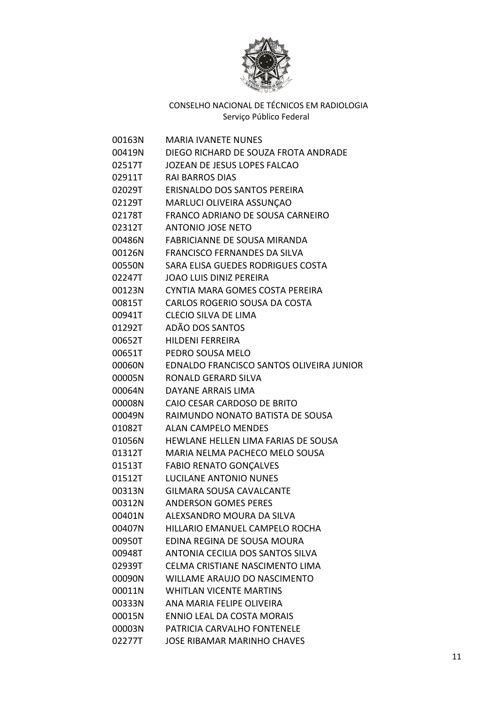

| 00163N | <b>MARIA IVANETE NUNES</b>               |
|--------|------------------------------------------|
| 00419N | DIEGO RICHARD DE SOUZA FROTA ANDRADE     |
| 02517T | JOZEAN DE JESUS LOPES FALCAO             |
| 02911T | <b>RAI BARROS DIAS</b>                   |
| 02029T | ERISNALDO DOS SANTOS PEREIRA             |
| 02129T | MARLUCI OLIVEIRA ASSUNÇAO                |
| 02178T | FRANCO ADRIANO DE SOUSA CARNEIRO         |
| 02312T | <b>ANTONIO JOSE NETO</b>                 |
| 00486N | FABRICIANNE DE SOUSA MIRANDA             |
| 00126N | <b>FRANCISCO FERNANDES DA SILVA</b>      |
| 00550N | SARA ELISA GUEDES RODRIGUES COSTA        |
| 02247T | <b>JOAO LUIS DINIZ PEREIRA</b>           |
| 00123N | CYNTIA MARA GOMES COSTA PEREIRA          |
| 00815T | CARLOS ROGERIO SOUSA DA COSTA            |
| 00941T | <b>CLECIO SILVA DE LIMA</b>              |
| 01292T | ADÃO DOS SANTOS                          |
| 00652T | <b>HILDENI FERREIRA</b>                  |
| 00651T | PEDRO SOUSA MELO                         |
| 00060N | EDNALDO FRANCISCO SANTOS OLIVEIRA JUNIOR |
| 00005N | RONALD GERARD SILVA                      |
| 00064N | DAYANE ARRAIS LIMA                       |
| 00008N | CAIO CESAR CARDOSO DE BRITO              |
| 00049N | RAIMUNDO NONATO BATISTA DE SOUSA         |
| 01082T | <b>ALAN CAMPELO MENDES</b>               |
| 01056N | HEWLANE HELLEN LIMA FARIAS DE SOUSA      |
| 01312T | MARIA NELMA PACHECO MELO SOUSA           |
| 01513T | <b>FABIO RENATO GONÇALVES</b>            |
| 01512T | <b>LUCILANE ANTONIO NUNES</b>            |
| 00313N | <b>GILMARA SOUSA CAVALCANTE</b>          |
| 00312N | <b>ANDERSON GOMES PERES</b>              |
| 00401N | ALEXSANDRO MOURA DA SILVA                |
| 00407N | HILLARIO EMANUEL CAMPELO ROCHA           |
| 00950T | EDINA REGINA DE SOUSA MOURA              |
| 00948T | ANTONIA CECILIA DOS SANTOS SILVA         |
| 02939T | CELMA CRISTIANE NASCIMENTO LIMA          |
| 00090N | WILLAME ARAUJO DO NASCIMENTO             |
| 00011N | <b>WHITLAN VICENTE MARTINS</b>           |
| 00333N | ANA MARIA FELIPE OLIVEIRA                |
| 00015N | <b>ENNIO LEAL DA COSTA MORAIS</b>        |
| 00003N | PATRICIA CARVALHO FONTENELE              |
| 02277T | <b>JOSE RIBAMAR MARINHO CHAVES</b>       |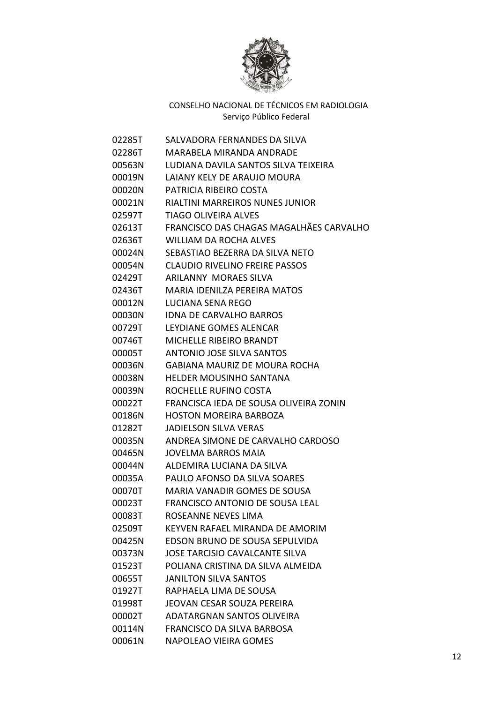

| 02285T | SALVADORA FERNANDES DA SILVA            |
|--------|-----------------------------------------|
| 02286T | MARABELA MIRANDA ANDRADE                |
| 00563N | LUDIANA DAVILA SANTOS SILVA TEIXEIRA    |
| 00019N | LAIANY KELY DE ARAUJO MOURA             |
| 00020N | PATRICIA RIBEIRO COSTA                  |
| 00021N | RIALTINI MARREIROS NUNES JUNIOR         |
| 02597T | <b>TIAGO OLIVEIRA ALVES</b>             |
| 02613T | FRANCISCO DAS CHAGAS MAGALHÃES CARVALHO |
| 02636T | <b>WILLIAM DA ROCHA ALVES</b>           |
| 00024N | SEBASTIAO BEZERRA DA SILVA NETO         |
| 00054N | <b>CLAUDIO RIVELINO FREIRE PASSOS</b>   |
| 02429T | <b>ARILANNY MORAES SILVA</b>            |
| 02436T | <b>MARIA IDENILZA PEREIRA MATOS</b>     |
| 00012N | LUCIANA SENA REGO                       |
| 00030N | <b>IDNA DE CARVALHO BARROS</b>          |
| 00729T | LEYDIANE GOMES ALENCAR                  |
| 00746T | MICHELLE RIBEIRO BRANDT                 |
| 00005T | <b>ANTONIO JOSE SILVA SANTOS</b>        |
| 00036N | <b>GABIANA MAURIZ DE MOURA ROCHA</b>    |
| 00038N | <b>HELDER MOUSINHO SANTANA</b>          |
| 00039N | ROCHELLE RUFINO COSTA                   |
| 00022T | FRANCISCA IEDA DE SOUSA OLIVEIRA ZONIN  |
| 00186N | <b>HOSTON MOREIRA BARBOZA</b>           |
| 01282T | <b>JADIELSON SILVA VERAS</b>            |
| 00035N | ANDREA SIMONE DE CARVALHO CARDOSO       |
| 00465N | JOVELMA BARROS MAIA                     |
| 00044N | ALDEMIRA LUCIANA DA SILVA               |
| 00035A | PAULO AFONSO DA SILVA SOARES            |
| 00070T | MARIA VANADIR GOMES DE SOUSA            |
| 00023T | FRANCISCO ANTONIO DE SOUSA LEAL         |
| 00083T | ROSEANNE NEVES LIMA                     |
| 02509T | KEYVEN RAFAEL MIRANDA DE AMORIM         |
| 00425N | EDSON BRUNO DE SOUSA SEPULVIDA          |
| 00373N | JOSE TARCISIO CAVALCANTE SILVA          |
| 01523T | POLIANA CRISTINA DA SILVA ALMEIDA       |
| 00655T | <b>JANILTON SILVA SANTOS</b>            |
| 01927T | RAPHAELA LIMA DE SOUSA                  |
| 01998T | JEOVAN CESAR SOUZA PEREIRA              |
| 00002T | ADATARGNAN SANTOS OLIVEIRA              |
| 00114N | FRANCISCO DA SILVA BARBOSA              |
| 00061N | NAPOLEAO VIEIRA GOMES                   |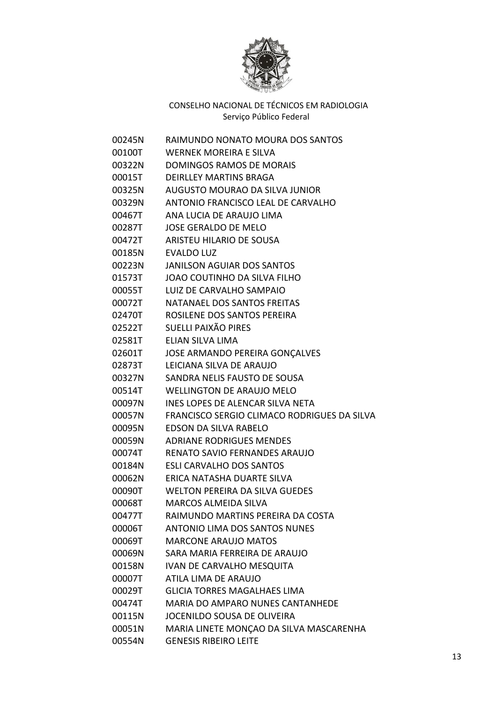

| 00245N | RAIMUNDO NONATO MOURA DOS SANTOS            |
|--------|---------------------------------------------|
| 00100T | <b>WERNEK MOREIRA E SILVA</b>               |
| 00322N | <b>DOMINGOS RAMOS DE MORAIS</b>             |
| 00015T | <b>DEIRLLEY MARTINS BRAGA</b>               |
| 00325N | AUGUSTO MOURAO DA SILVA JUNIOR              |
| 00329N | ANTONIO FRANCISCO LEAL DE CARVALHO          |
| 00467T | ANA LUCIA DE ARAUJO LIMA                    |
| 00287T | <b>JOSE GERALDO DE MELO</b>                 |
| 00472T | ARISTEU HILARIO DE SOUSA                    |
| 00185N | <b>EVALDO LUZ</b>                           |
| 00223N | <b>JANILSON AGUIAR DOS SANTOS</b>           |
| 01573T | <b>JOAO COUTINHO DA SILVA FILHO</b>         |
| 00055T | LUIZ DE CARVALHO SAMPAIO                    |
| 00072T | NATANAEL DOS SANTOS FREITAS                 |
| 02470T | ROSILENE DOS SANTOS PEREIRA                 |
| 02522T | <b>SUELLI PAIXÃO PIRES</b>                  |
| 02581T | ELIAN SILVA LIMA                            |
| 02601T | <b>JOSE ARMANDO PEREIRA GONÇALVES</b>       |
| 02873T | LEICIANA SILVA DE ARAUJO                    |
| 00327N | SANDRA NELIS FAUSTO DE SOUSA                |
| 00514T | <b>WELLINGTON DE ARAUJO MELO</b>            |
| 00097N | INES LOPES DE ALENCAR SILVA NETA            |
| 00057N | FRANCISCO SERGIO CLIMACO RODRIGUES DA SILVA |
| 00095N | EDSON DA SILVA RABELO                       |
| 00059N | <b>ADRIANE RODRIGUES MENDES</b>             |
| 00074T | RENATO SAVIO FERNANDES ARAUJO               |
| 00184N | <b>ESLI CARVALHO DOS SANTOS</b>             |
| 00062N | ERICA NATASHA DUARTE SILVA                  |
| 00090T | <b>WELTON PEREIRA DA SILVA GUEDES</b>       |
| 00068T | <b>MARCOS ALMEIDA SILVA</b>                 |
| 00477T | RAIMUNDO MARTINS PEREIRA DA COSTA           |
| 00006T | <b>ANTONIO LIMA DOS SANTOS NUNES</b>        |
| 00069T | <b>MARCONE ARAUJO MATOS</b>                 |
| 00069N | SARA MARIA FERREIRA DE ARAUJO               |
| 00158N | <b>IVAN DE CARVALHO MESQUITA</b>            |
| 00007T | ATILA LIMA DE ARAUJO                        |
| 00029T | <b>GLICIA TORRES MAGALHAES LIMA</b>         |
| 00474T | MARIA DO AMPARO NUNES CANTANHEDE            |
| 00115N | JOCENILDO SOUSA DE OLIVEIRA                 |
| 00051N | MARIA LINETE MONÇÃO DA SILVA MASCARENHA     |
| 00554N | <b>GENESIS RIBEIRO LEITE</b>                |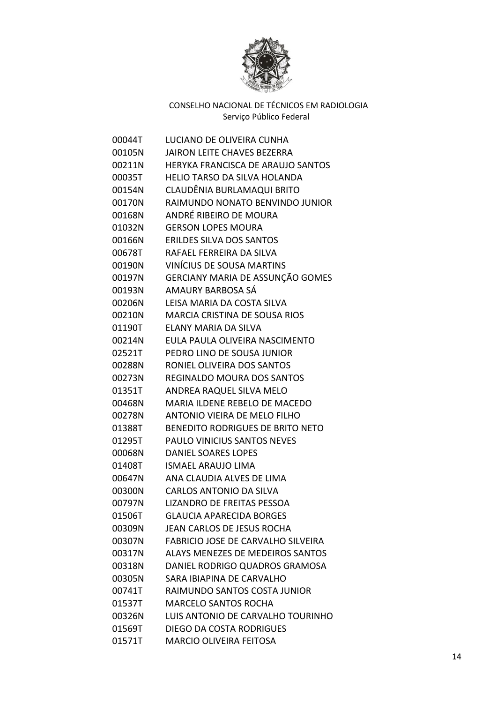

| 00044T | LUCIANO DE OLIVEIRA CUNHA                 |
|--------|-------------------------------------------|
| 00105N | <b>JAIRON LEITE CHAVES BEZERRA</b>        |
| 00211N | HERYKA FRANCISCA DE ARAUJO SANTOS         |
| 00035T | <b>HELIO TARSO DA SILVA HOLANDA</b>       |
| 00154N | CLAUDÊNIA BURLAMAQUI BRITO                |
| 00170N | RAIMUNDO NONATO BENVINDO JUNIOR           |
| 00168N | ANDRÉ RIBEIRO DE MOURA                    |
| 01032N | <b>GERSON LOPES MOURA</b>                 |
| 00166N | <b>ERILDES SILVA DOS SANTOS</b>           |
| 00678T | RAFAEL FERREIRA DA SILVA                  |
| 00190N | VINÍCIUS DE SOUSA MARTINS                 |
| 00197N | GERCIANY MARIA DE ASSUNÇÃO GOMES          |
| 00193N | AMAURY BARBOSA SÁ                         |
| 00206N | LEISA MARIA DA COSTA SILVA                |
| 00210N | <b>MARCIA CRISTINA DE SOUSA RIOS</b>      |
| 01190T | ELANY MARIA DA SILVA                      |
| 00214N | EULA PAULA OLIVEIRA NASCIMENTO            |
| 02521T | PEDRO LINO DE SOUSA JUNIOR                |
| 00288N | RONIEL OLIVEIRA DOS SANTOS                |
| 00273N | <b>REGINALDO MOURA DOS SANTOS</b>         |
| 01351T | ANDREA RAQUEL SILVA MELO                  |
| 00468N | MARIA ILDENE REBELO DE MACEDO             |
| 00278N | <b>ANTONIO VIEIRA DE MELO FILHO</b>       |
| 01388T | BENEDITO RODRIGUES DE BRITO NETO          |
| 01295T | PAULO VINICIUS SANTOS NEVES               |
| 00068N | <b>DANIEL SOARES LOPES</b>                |
| 01408T | <b>ISMAEL ARAUJO LIMA</b>                 |
| 00647N | ANA CLAUDIA ALVES DE LIMA                 |
| 00300N | <b>CARLOS ANTONIO DA SILVA</b>            |
| 00797N | LIZANDRO DE FREITAS PESSOA                |
| 01506T | <b>GLAUCIA APARECIDA BORGES</b>           |
| 00309N | JEAN CARLOS DE JESUS ROCHA                |
| 00307N | <b>FABRICIO JOSE DE CARVALHO SILVEIRA</b> |
| 00317N | <b>ALAYS MENEZES DE MEDEIROS SANTOS</b>   |
| 00318N | DANIEL RODRIGO QUADROS GRAMOSA            |
| 00305N | SARA IBIAPINA DE CARVALHO                 |
| 00741T | RAIMUNDO SANTOS COSTA JUNIOR              |
| 01537T | <b>MARCELO SANTOS ROCHA</b>               |
| 00326N | LUIS ANTONIO DE CARVALHO TOURINHO         |
| 01569T | <b>DIEGO DA COSTA RODRIGUES</b>           |
| 01571T | <b>MARCIO OLIVEIRA FEITOSA</b>            |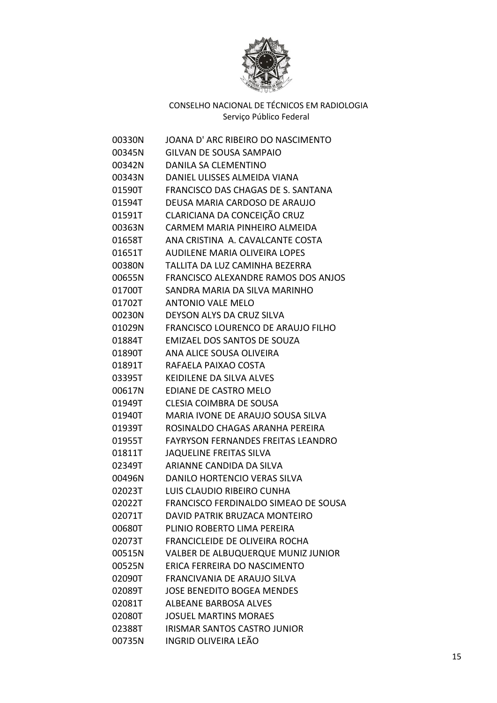

| 00330N | JOANA D'ARC RIBEIRO DO NASCIMENTO         |
|--------|-------------------------------------------|
| 00345N | GILVAN DE SOUSA SAMPAIO                   |
| 00342N | DANILA SA CLEMENTINO                      |
| 00343N | DANIEL ULISSES ALMEIDA VIANA              |
| 01590T | FRANCISCO DAS CHAGAS DE S. SANTANA        |
| 01594T | DEUSA MARIA CARDOSO DE ARAUJO             |
| 01591T | CLARICIANA DA CONCEIÇÃO CRUZ              |
| 00363N | CARMEM MARIA PINHEIRO ALMEIDA             |
| 01658T | ANA CRISTINA A. CAVALCANTE COSTA          |
| 01651T | <b>AUDILENE MARIA OLIVEIRA LOPES</b>      |
| 00380N | TALLITA DA LUZ CAMINHA BEZERRA            |
| 00655N | FRANCISCO ALEXANDRE RAMOS DOS ANJOS       |
| 01700T | SANDRA MARIA DA SILVA MARINHO             |
| 01702T | <b>ANTONIO VALE MELO</b>                  |
| 00230N | DEYSON ALYS DA CRUZ SILVA                 |
| 01029N | FRANCISCO LOURENCO DE ARAUJO FILHO        |
| 01884T | EMIZAEL DOS SANTOS DE SOUZA               |
| 01890T | ANA ALICE SOUSA OLIVEIRA                  |
| 01891T | RAFAELA PAIXAO COSTA                      |
| 03395T | KEIDILENE DA SILVA ALVES                  |
| 00617N | EDIANE DE CASTRO MELO                     |
| 01949T | CLESIA COIMBRA DE SOUSA                   |
| 01940T | MARIA IVONE DE ARAUJO SOUSA SILVA         |
| 01939T | ROSINALDO CHAGAS ARANHA PEREIRA           |
| 01955T | <b>FAYRYSON FERNANDES FREITAS LEANDRO</b> |
| 01811T | <b>JAQUELINE FREITAS SILVA</b>            |
| 02349T | ARIANNE CANDIDA DA SILVA                  |
| 00496N | DANILO HORTENCIO VERAS SILVA              |
| 02023T | LUIS CLAUDIO RIBEIRO CUNHA                |
| 02022T | FRANCISCO FERDINALDO SIMEAO DE SOUSA      |
| 02071T | DAVID PATRIK BRUZACA MONTEIRO             |
| 00680T | PLINIO ROBERTO LIMA PEREIRA               |
| 02073T | FRANCICLEIDE DE OLIVEIRA ROCHA            |
| 00515N | VALBER DE ALBUQUERQUE MUNIZ JUNIOR        |
| 00525N | ERICA FERREIRA DO NASCIMENTO              |
| 02090T | FRANCIVANIA DE ARAUJO SILVA               |
| 02089T | <b>JOSE BENEDITO BOGEA MENDES</b>         |
| 02081T | <b>ALBEANE BARBOSA ALVES</b>              |
| 02080T | <b>JOSUEL MARTINS MORAES</b>              |
| 02388T | <b>IRISMAR SANTOS CASTRO JUNIOR</b>       |
| 00735N | <b>INGRID OLIVEIRA LEÃO</b>               |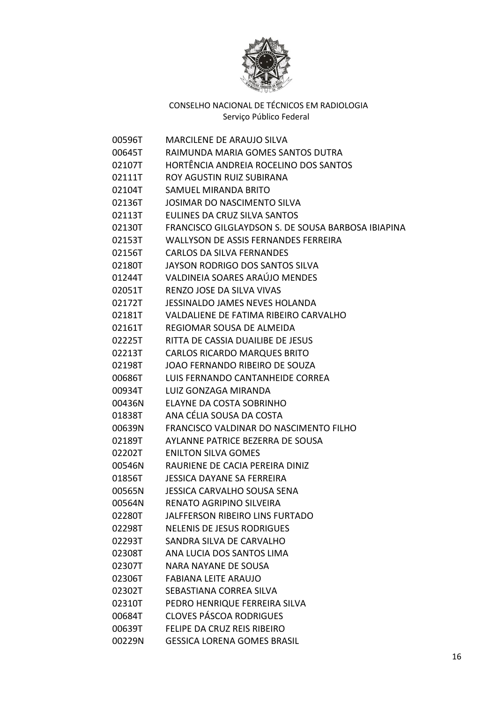

| 00596T | <b>MARCILENE DE ARAUJO SILVA</b>                   |
|--------|----------------------------------------------------|
| 00645T | RAIMUNDA MARIA GOMES SANTOS DUTRA                  |
| 02107T | HORTÊNCIA ANDREIA ROCELINO DOS SANTOS              |
| 02111T | ROY AGUSTIN RUIZ SUBIRANA                          |
| 02104T | SAMUEL MIRANDA BRITO                               |
| 02136T | JOSIMAR DO NASCIMENTO SILVA                        |
| 02113T | EULINES DA CRUZ SILVA SANTOS                       |
| 02130T | FRANCISCO GILGLAYDSON S. DE SOUSA BARBOSA IBIAPINA |
| 02153T | <b>WALLYSON DE ASSIS FERNANDES FERREIRA</b>        |
| 02156T | <b>CARLOS DA SILVA FERNANDES</b>                   |
| 02180T | <b>JAYSON RODRIGO DOS SANTOS SILVA</b>             |
| 01244T | VALDINEIA SOARES ARAÚJO MENDES                     |
| 02051T | <b>RENZO JOSE DA SILVA VIVAS</b>                   |
| 02172T | JESSINALDO JAMES NEVES HOLANDA                     |
| 02181T | VALDALIENE DE FATIMA RIBEIRO CARVALHO              |
| 02161T | REGIOMAR SOUSA DE ALMEIDA                          |
| 02225T | RITTA DE CASSIA DUAILIBE DE JESUS                  |
| 02213T | <b>CARLOS RICARDO MARQUES BRITO</b>                |
| 02198T | JOAO FERNANDO RIBEIRO DE SOUZA                     |
| 00686T | LUIS FERNANDO CANTANHEIDE CORREA                   |
| 00934T | LUIZ GONZAGA MIRANDA                               |
| 00436N | ELAYNE DA COSTA SOBRINHO                           |
| 01838T | ANA CÉLIA SOUSA DA COSTA                           |
| 00639N | FRANCISCO VALDINAR DO NASCIMENTO FILHO             |
| 02189T | AYLANNE PATRICE BEZERRA DE SOUSA                   |
| 02202T | <b>ENILTON SILVA GOMES</b>                         |
| 00546N | RAURIENE DE CACIA PEREIRA DINIZ                    |
| 01856T | JESSICA DAYANE SA FERREIRA                         |
| 00565N | JESSICA CARVALHO SOUSA SENA                        |
| 00564N | RENATO AGRIPINO SILVEIRA                           |
| 02280T | <b>JALFFERSON RIBEIRO LINS FURTADO</b>             |
| 02298T | <b>NELENIS DE JESUS RODRIGUES</b>                  |
| 02293T | SANDRA SILVA DE CARVALHO                           |
| 02308T | ANA LUCIA DOS SANTOS LIMA                          |
| 02307T | <b>NARA NAYANE DE SOUSA</b>                        |
| 02306T | <b>FABIANA LEITE ARAUJO</b>                        |
| 02302T | SEBASTIANA CORREA SILVA                            |
| 02310T | PEDRO HENRIQUE FERREIRA SILVA                      |
| 00684T | <b>CLOVES PÁSCOA RODRIGUES</b>                     |
| 00639T | FELIPE DA CRUZ REIS RIBEIRO                        |
| 00229N | <b>GESSICA LORENA GOMES BRASIL</b>                 |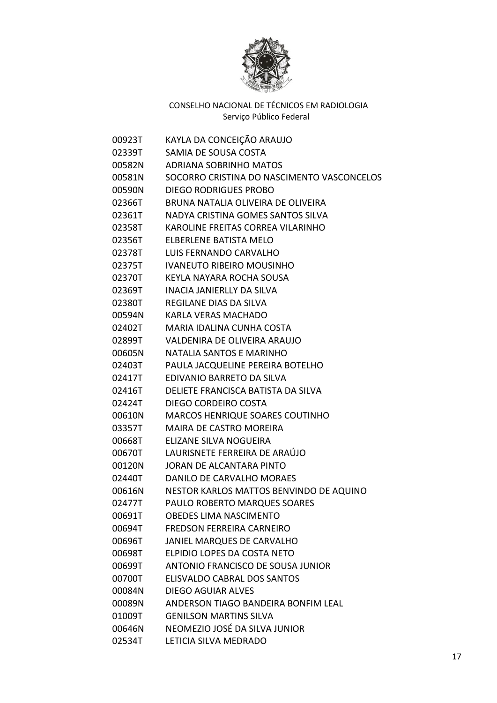

| 00923T | KAYLA DA CONCEIÇÃO ARAUJO                  |
|--------|--------------------------------------------|
| 02339T | SAMIA DE SOUSA COSTA                       |
| 00582N | <b>ADRIANA SOBRINHO MATOS</b>              |
| 00581N | SOCORRO CRISTINA DO NASCIMENTO VASCONCELOS |
| 00590N | <b>DIEGO RODRIGUES PROBO</b>               |
| 02366T | BRUNA NATALIA OLIVEIRA DE OLIVEIRA         |
| 02361T | NADYA CRISTINA GOMES SANTOS SILVA          |
| 02358T | KAROLINE FREITAS CORREA VILARINHO          |
| 02356T | <b>ELBERLENE BATISTA MELO</b>              |
| 02378T | LUIS FERNANDO CARVALHO                     |
| 02375T | <b>IVANEUTO RIBEIRO MOUSINHO</b>           |
| 02370T | KEYLA NAYARA ROCHA SOUSA                   |
| 02369T | INACIA JANIERLLY DA SILVA                  |
| 02380T | REGILANE DIAS DA SILVA                     |
| 00594N | <b>KARLA VERAS MACHADO</b>                 |
| 02402T | MARIA IDALINA CUNHA COSTA                  |
| 02899T | VALDENIRA DE OLIVEIRA ARAUJO               |
| 00605N | <b>NATALIA SANTOS E MARINHO</b>            |
| 02403T | PAULA JACQUELINE PEREIRA BOTELHO           |
| 02417T | EDIVANIO BARRETO DA SILVA                  |
| 02416T | DELIETE FRANCISCA BATISTA DA SILVA         |
| 02424T | DIEGO CORDEIRO COSTA                       |
| 00610N | <b>MARCOS HENRIQUE SOARES COUTINHO</b>     |
| 03357T | <b>MAIRA DE CASTRO MOREIRA</b>             |
| 00668T | ELIZANE SILVA NOGUEIRA                     |
| 00670T | LAURISNETE FERREIRA DE ARAÚJO              |
| 00120N | JORAN DE ALCANTARA PINTO                   |
| 02440T | DANILO DE CARVALHO MORAES                  |
| 00616N | NESTOR KARLOS MATTOS BENVINDO DE AQUINO    |
| 02477T | PAULO ROBERTO MARQUES SOARES               |
| 00691T | <b>OBEDES LIMA NASCIMENTO</b>              |
| 00694T | FREDSON FERREIRA CARNEIRO                  |
| 00696T | JANIEL MARQUES DE CARVALHO                 |
| 00698T | ELPIDIO LOPES DA COSTA NETO                |
| 00699T | ANTONIO FRANCISCO DE SOUSA JUNIOR          |
| 00700T | <b>ELISVALDO CABRAL DOS SANTOS</b>         |
| 00084N | <b>DIEGO AGUIAR ALVES</b>                  |
| 00089N | ANDERSON TIAGO BANDEIRA BONFIM LEAL        |
| 01009T | <b>GENILSON MARTINS SILVA</b>              |
| 00646N | NEOMEZIO JOSÉ DA SILVA JUNIOR              |
| 02534T | LETICIA SILVA MEDRADO                      |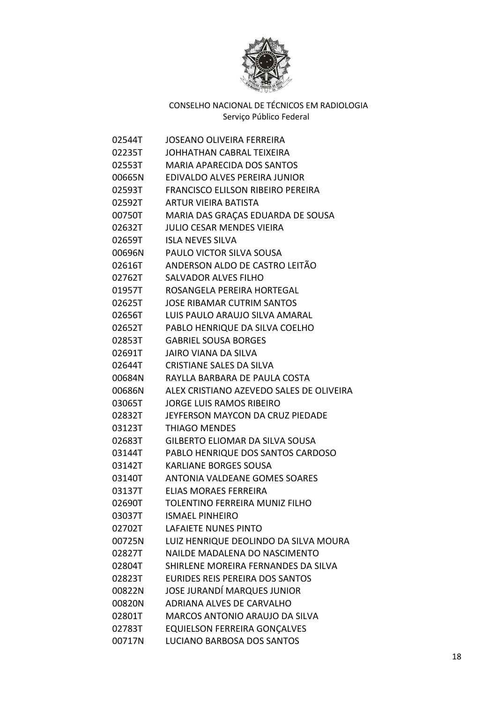

| 02544T | JOSEANO OLIVEIRA FERREIRA                |
|--------|------------------------------------------|
| 02235T | JOHHATHAN CABRAL TEIXEIRA                |
| 02553T | <b>MARIA APARECIDA DOS SANTOS</b>        |
| 00665N | EDIVALDO ALVES PEREIRA JUNIOR            |
| 02593T | <b>FRANCISCO ELILSON RIBEIRO PEREIRA</b> |
| 02592T | ARTUR VIEIRA BATISTA                     |
| 00750T | MARIA DAS GRAÇAS EDUARDA DE SOUSA        |
| 02632T | JULIO CESAR MENDES VIEIRA                |
| 02659T | <b>ISLA NEVES SILVA</b>                  |
| 00696N | <b>PAULO VICTOR SILVA SOUSA</b>          |
| 02616T | ANDERSON ALDO DE CASTRO LEITÃO           |
| 02762T | <b>SALVADOR ALVES FILHO</b>              |
| 01957T | ROSANGELA PEREIRA HORTEGAL               |
| 02625T | JOSE RIBAMAR CUTRIM SANTOS               |
| 02656T | LUIS PAULO ARAUJO SILVA AMARAL           |
| 02652T | PABLO HENRIQUE DA SILVA COELHO           |
| 02853T | <b>GABRIEL SOUSA BORGES</b>              |
| 02691T | JAIRO VIANA DA SILVA                     |
| 02644T | <b>CRISTIANE SALES DA SILVA</b>          |
| 00684N | RAYLLA BARBARA DE PAULA COSTA            |
| 00686N | ALEX CRISTIANO AZEVEDO SALES DE OLIVEIRA |
| 03065T | JORGE LUIS RAMOS RIBEIRO                 |
| 02832T | JEYFERSON MAYCON DA CRUZ PIEDADE         |
| 03123T | <b>THIAGO MENDES</b>                     |
| 02683T | <b>GILBERTO ELIOMAR DA SILVA SOUSA</b>   |
| 03144T | PABLO HENRIQUE DOS SANTOS CARDOSO        |
| 03142T | <b>KARLIANE BORGES SOUSA</b>             |
| 03140T | <b>ANTONIA VALDEANE GOMES SOARES</b>     |
| 03137T | ELIAS MORAES FERREIRA                    |
| 02690T | TOLENTINO FERREIRA MUNIZ FILHO           |
| 03037T | <b>ISMAEL PINHEIRO</b>                   |
| 02702T | <b>LAFAIETE NUNES PINTO</b>              |
| 00725N | LUIZ HENRIQUE DEOLINDO DA SILVA MOURA    |
| 02827T | NAILDE MADALENA DO NASCIMENTO            |
| 02804T | SHIRLENE MOREIRA FERNANDES DA SILVA      |
| 02823T | <b>EURIDES REIS PEREIRA DOS SANTOS</b>   |
| 00822N | JOSE JURANDÍ MARQUES JUNIOR              |
| 00820N | <b>ADRIANA ALVES DE CARVALHO</b>         |
| 02801T | <b>MARCOS ANTONIO ARAUJO DA SILVA</b>    |
| 02783T | <b>EQUIELSON FERREIRA GONÇALVES</b>      |
| 00717N | LUCIANO BARBOSA DOS SANTOS               |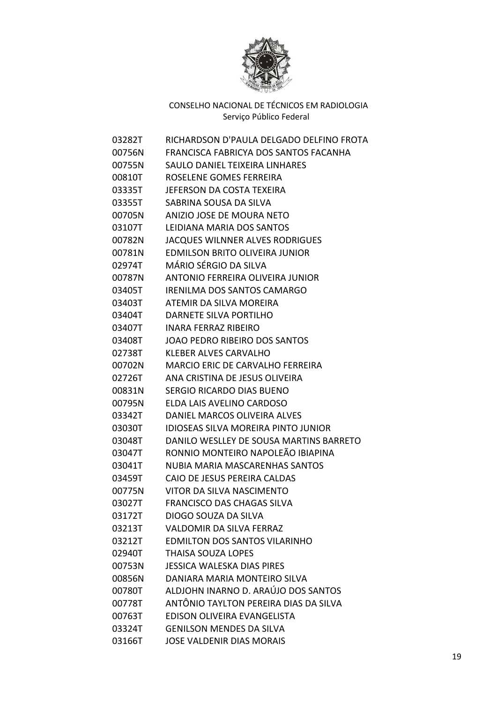

| 03282T   | RICHARDSON D'PAULA DELGADO DELFINO FROTA   |
|----------|--------------------------------------------|
| 00756N   | FRANCISCA FABRICYA DOS SANTOS FACANHA      |
| 00755N   | SAULO DANIEL TEIXEIRA LINHARES             |
| 00810T   | ROSELENE GOMES FERREIRA                    |
| 03335T   | JEFERSON DA COSTA TEXEIRA                  |
| 03355T   | SABRINA SOUSA DA SILVA                     |
| 00705N   | ANIZIO JOSE DE MOURA NETO                  |
| 03107T   | LEIDIANA MARIA DOS SANTOS                  |
| 00782N   | <b>JACQUES WILNNER ALVES RODRIGUES</b>     |
| 00781N   | EDMILSON BRITO OLIVEIRA JUNIOR             |
| 02974T   | MÁRIO SÉRGIO DA SILVA                      |
| 00787N   | ANTONIO FERREIRA OLIVEIRA JUNIOR           |
| 03405T   | <b>IRENILMA DOS SANTOS CAMARGO</b>         |
| 03403T   | ATEMIR DA SILVA MOREIRA                    |
| 03404T   | <b>DARNETE SILVA PORTILHO</b>              |
| 03407T   | <b>INARA FERRAZ RIBEIRO</b>                |
| 03408T   | JOAO PEDRO RIBEIRO DOS SANTOS              |
| 02738T   | <b>KLEBER ALVES CARVALHO</b>               |
| 00702N   | <b>MARCIO ERIC DE CARVALHO FERREIRA</b>    |
| 02726T   | ANA CRISTINA DE JESUS OLIVEIRA             |
| 00831N   | <b>SERGIO RICARDO DIAS BUENO</b>           |
| 00795N   | ELDA LAIS AVELINO CARDOSO                  |
| 03342T   | DANIEL MARCOS OLIVEIRA ALVES               |
| 03030T   | <b>IDIOSEAS SILVA MOREIRA PINTO JUNIOR</b> |
| 03048T   | DANILO WESLLEY DE SOUSA MARTINS BARRETO    |
| 03047T   | RONNIO MONTEIRO NAPOLEÃO IBIAPINA          |
| 03041T   | NUBIA MARIA MASCARENHAS SANTOS             |
| 03459T   | CAIO DE JESUS PEREIRA CALDAS               |
| 00775N   | VITOR DA SILVA NASCIMENTO                  |
| 03027T   | <b>FRANCISCO DAS CHAGAS SILVA</b>          |
| 03172T   | DIOGO SOUZA DA SILVA                       |
| 03213T   | VALDOMIR DA SILVA FERRAZ                   |
| 03212T   | <b>EDMILTON DOS SANTOS VILARINHO</b>       |
| 02940T   | <b>THAISA SOUZA LOPES</b>                  |
| 00753N   | <b>JESSICA WALESKA DIAS PIRES</b>          |
| 00856N   | DANIARA MARIA MONTEIRO SILVA               |
| 00780T   | ALDJOHN INARNO D. ARAÚJO DOS SANTOS        |
| 00778T   | ANTÔNIO TAYLTON PEREIRA DIAS DA SILVA      |
| 00763T   | EDISON OLIVEIRA EVANGELISTA                |
| 03324T l | <b>GENILSON MENDES DA SILVA</b>            |
| 03166T   | <b>JOSE VALDENIR DIAS MORAIS</b>           |
|          |                                            |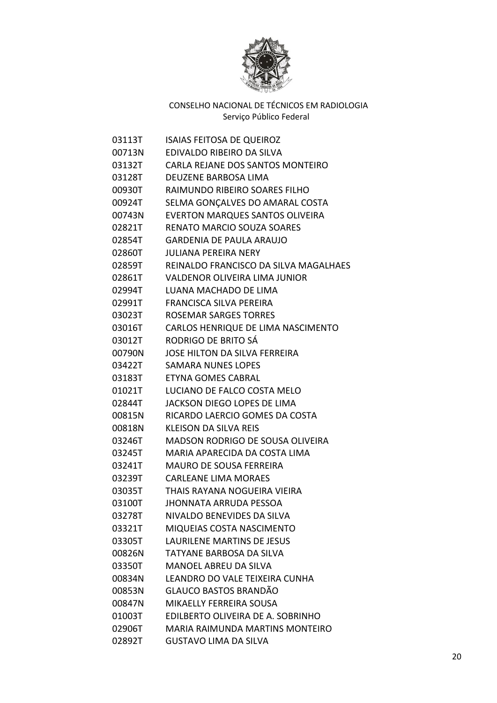

| 03113T | <b>ISAIAS FEITOSA DE QUEIROZ</b>       |
|--------|----------------------------------------|
| 00713N | EDIVALDO RIBEIRO DA SILVA              |
| 03132T | CARLA REJANE DOS SANTOS MONTEIRO       |
| 03128T | DEUZENE BARBOSA LIMA                   |
| 00930T | RAIMUNDO RIBEIRO SOARES FILHO          |
| 00924T | SELMA GONÇALVES DO AMARAL COSTA        |
| 00743N | <b>EVERTON MARQUES SANTOS OLIVEIRA</b> |
| 02821T | <b>RENATO MARCIO SOUZA SOARES</b>      |
| 02854T | <b>GARDENIA DE PAULA ARAUJO</b>        |
| 02860T | JULIANA PEREIRA NERY                   |
| 02859T | REINALDO FRANCISCO DA SILVA MAGALHAES  |
| 02861T | VALDENOR OLIVEIRA LIMA JUNIOR          |
| 02994T | LUANA MACHADO DE LIMA                  |
| 02991T | <b>FRANCISCA SILVA PEREIRA</b>         |
| 03023T | <b>ROSEMAR SARGES TORRES</b>           |
| 03016T | CARLOS HENRIQUE DE LIMA NASCIMENTO     |
| 03012T | RODRIGO DE BRITO SÁ                    |
| 00790N | JOSE HILTON DA SILVA FERREIRA          |
| 03422T | <b>SAMARA NUNES LOPES</b>              |
| 03183T | ETYNA GOMES CABRAL                     |
| 01021T | LUCIANO DE FALCO COSTA MELO            |
| 02844T | JACKSON DIEGO LOPES DE LIMA            |
| 00815N | RICARDO LAERCIO GOMES DA COSTA         |
| 00818N | KLEISON DA SILVA REIS                  |
| 03246T | MADSON RODRIGO DE SOUSA OLIVEIRA       |
| 03245T | MARIA APARECIDA DA COSTA LIMA          |
| 03241T | <b>MAURO DE SOUSA FERREIRA</b>         |
| 03239T | <b>CARLEANE LIMA MORAES</b>            |
| 03035T | THAIS RAYANA NOGUEIRA VIEIRA           |
| 03100T | <b>JHONNATA ARRUDA PESSOA</b>          |
| 03278T | NIVALDO BENEVIDES DA SILVA             |
| 03321T | <b>MIQUEIAS COSTA NASCIMENTO</b>       |
| 03305T | <b>LAURILENE MARTINS DE JESUS</b>      |
| 00826N | <b>TATYANE BARBOSA DA SILVA</b>        |
| 03350T | <b>MANOEL ABREU DA SILVA</b>           |
| 00834N | LEANDRO DO VALE TEIXEIRA CUNHA         |
| 00853N | <b>GLAUCO BASTOS BRANDÃO</b>           |
| 00847N | MIKAELLY FERREIRA SOUSA                |
| 01003T | EDILBERTO OLIVEIRA DE A. SOBRINHO      |
| 02906T | MARIA RAIMUNDA MARTINS MONTEIRO        |
| 02892T | <b>GUSTAVO LIMA DA SILVA</b>           |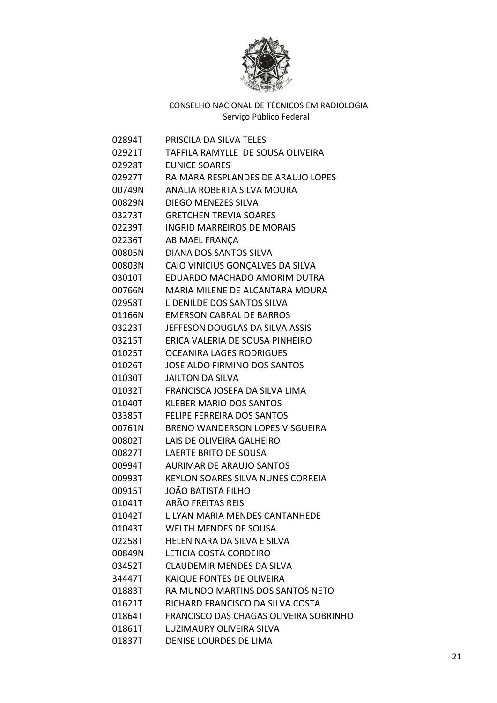

| 02894T | <b>PRISCILA DA SILVA TELES</b>            |
|--------|-------------------------------------------|
| 02921T | TAFFILA RAMYLLE DE SOUSA OLIVEIRA         |
| 02928T | <b>EUNICE SOARES</b>                      |
|        | 02927T RAIMARA RESPLANDES DE ARAUJO LOPES |
| 00749N | ANALIA ROBERTA SILVA MOURA                |
| 00829N | <b>DIEGO MENEZES SILVA</b>                |
| 03273T | <b>GRETCHEN TREVIA SOARES</b>             |
| 02239T | INGRID MARREIROS DE MORAIS                |
| 02236T | ABIMAEL FRANÇA                            |
| 00805N | DIANA DOS SANTOS SILVA                    |
| 00803N | CAIO VINICIUS GONÇALVES DA SILVA          |
| 03010T | EDUARDO MACHADO AMORIM DUTRA              |
| 00766N | MARIA MILENE DE ALCANTARA MOURA           |
|        | 02958T LIDENILDE DOS SANTOS SILVA         |
|        | 01166N EMERSON CABRAL DE BARROS           |
|        | 03223T JEFFESON DOUGLAS DA SILVA ASSIS    |
| 03215T | ERICA VALERIA DE SOUSA PINHEIRO           |
| 01025T | <b>OCEANIRA LAGES RODRIGUES</b>           |
| 01026T | <b>JOSE ALDO FIRMINO DOS SANTOS</b>       |
|        | 01030T JAILTON DA SILVA                   |
| 01032T | FRANCISCA JOSEFA DA SILVA LIMA            |
|        | 01040T KLEBER MARIO DOS SANTOS            |
|        | 03385T FELIPE FERREIRA DOS SANTOS         |
|        | 00761N BRENO WANDERSON LOPES VISGUEIRA    |
| 00802T | LAIS DE OLIVEIRA GALHEIRO                 |
| 00827T | LAERTE BRITO DE SOUSA                     |
| 00994T | <b>AURIMAR DE ARAUJO SANTOS</b>           |
| 00993T | KEYLON SOARES SILVA NUNES CORREIA         |
| 00915T | JOÃO BATISTA FILHO                        |
| 01041T | <b>ARÃO FREITAS REIS</b>                  |
| 01042T | LILYAN MARIA MENDES CANTANHEDE            |
| 01043T | WELTH MENDES DE SOUSA                     |
| 02258T | HELEN NARA DA SILVA E SILVA               |
| 00849N | LETICIA COSTA CORDEIRO                    |
| 03452T | <b>CLAUDEMIR MENDES DA SILVA</b>          |
| 34447T | KAIQUE FONTES DE OLIVEIRA                 |
| 01883T | RAIMUNDO MARTINS DOS SANTOS NETO          |
| 01621T | RICHARD FRANCISCO DA SILVA COSTA          |
| 01864T | FRANCISCO DAS CHAGAS OLIVEIRA SOBRINHO    |
| 01861T | LUZIMAURY OLIVEIRA SILVA                  |
| 01837T | DENISE LOURDES DE LIMA                    |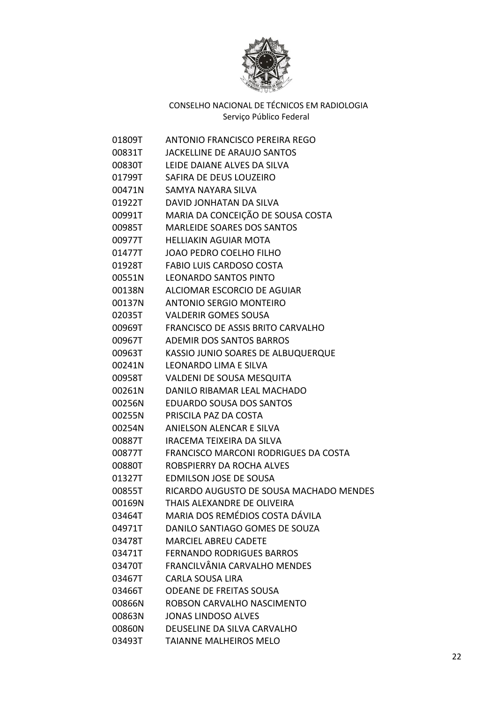

| 01809T | ANTONIO FRANCISCO PEREIRA REGO              |
|--------|---------------------------------------------|
| 00831T | JACKELLINE DE ARAUJO SANTOS                 |
| 00830T | LEIDE DAIANE ALVES DA SILVA                 |
| 01799T | SAFIRA DE DEUS LOUZEIRO                     |
| 00471N | SAMYA NAYARA SILVA                          |
| 01922T | DAVID JONHATAN DA SILVA                     |
| 00991T | MARIA DA CONCEIÇÃO DE SOUSA COSTA           |
| 00985T | <b>MARLEIDE SOARES DOS SANTOS</b>           |
| 00977T | <b>HELLIAKIN AGUIAR MOTA</b>                |
| 01477T | <b>JOAO PEDRO COELHO FILHO</b>              |
| 01928T | <b>FABIO LUIS CARDOSO COSTA</b>             |
| 00551N | LEONARDO SANTOS PINTO                       |
| 00138N | ALCIOMAR ESCORCIO DE AGUIAR                 |
|        | 00137N ANTONIO SERGIO MONTEIRO              |
| 02035T | <b>VALDERIR GOMES SOUSA</b>                 |
| 00969T | <b>FRANCISCO DE ASSIS BRITO CARVALHO</b>    |
| 00967T | <b>ADEMIR DOS SANTOS BARROS</b>             |
| 00963T | KASSIO JUNIO SOARES DE ALBUQUERQUE          |
| 00241N | <b>LEONARDO LIMA E SILVA</b>                |
| 00958T | <b>VALDENI DE SOUSA MESQUITA</b>            |
| 00261N | DANILO RIBAMAR LEAL MACHADO                 |
| 00256N | <b>EDUARDO SOUSA DOS SANTOS</b>             |
| 00255N | PRISCILA PAZ DA COSTA                       |
| 00254N | ANIELSON ALENCAR E SILVA                    |
| 00887T | IRACEMA TEIXEIRA DA SILVA                   |
| 00877T | <b>FRANCISCO MARCONI RODRIGUES DA COSTA</b> |
| 00880T | ROBSPIERRY DA ROCHA ALVES                   |
| 01327T | <b>EDMILSON JOSE DE SOUSA</b>               |
| 00855T | RICARDO AUGUSTO DE SOUSA MACHADO MENDES     |
| 00169N | THAIS ALEXANDRE DE OLIVEIRA                 |
| 03464T | MARIA DOS REMÉDIOS COSTA DÁVILA             |
| 04971T | DANILO SANTIAGO GOMES DE SOUZA              |
| 03478T | <b>MARCIEL ABREU CADETE</b>                 |
| 03471T | <b>FERNANDO RODRIGUES BARROS</b>            |
| 03470T | FRANCILVÂNIA CARVALHO MENDES                |
| 03467T | <b>CARLA SOUSA LIRA</b>                     |
| 03466T | <b>ODEANE DE FREITAS SOUSA</b>              |
| 00866N | ROBSON CARVALHO NASCIMENTO                  |
| 00863N | <b>JONAS LINDOSO ALVES</b>                  |
| 00860N | DEUSELINE DA SILVA CARVALHO                 |
| 03493T | TAIANNE MALHEIROS MELO                      |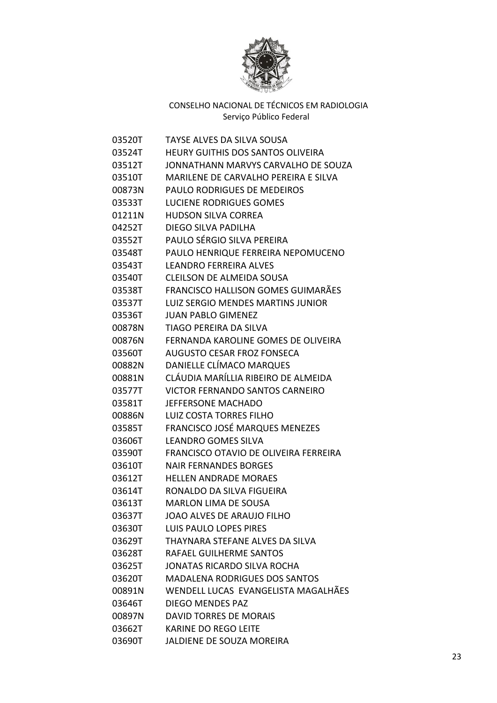

| 03520T | TAYSE ALVES DA SILVA SOUSA                   |
|--------|----------------------------------------------|
| 03524T | <b>HEURY GUITHIS DOS SANTOS OLIVEIRA</b>     |
| 03512T | JONNATHANN MARVYS CARVALHO DE SOUZA          |
| 03510T | MARILENE DE CARVALHO PEREIRA E SILVA         |
| 00873N | PAULO RODRIGUES DE MEDEIROS                  |
| 03533T | <b>LUCIENE RODRIGUES GOMES</b>               |
| 01211N | <b>HUDSON SILVA CORREA</b>                   |
| 04252T | DIEGO SILVA PADILHA                          |
| 03552T | PAULO SÉRGIO SILVA PEREIRA                   |
| 03548T | PAULO HENRIQUE FERREIRA NEPOMUCENO           |
| 03543T | LEANDRO FERREIRA ALVES                       |
| 03540T | <b>CLEILSON DE ALMEIDA SOUSA</b>             |
| 03538T | FRANCISCO HALLISON GOMES GUIMARÃES           |
| 03537T | <b>LUIZ SERGIO MENDES MARTINS JUNIOR</b>     |
| 03536T | <b>JUAN PABLO GIMENEZ</b>                    |
| 00878N | TIAGO PEREIRA DA SILVA                       |
| 00876N | FERNANDA KAROLINE GOMES DE OLIVEIRA          |
| 03560T | <b>AUGUSTO CESAR FROZ FONSECA</b>            |
| 00882N | DANIELLE CLÍMACO MARQUES                     |
| 00881N | CLÁUDIA MARÍLLIA RIBEIRO DE ALMEIDA          |
| 03577T | <b>VICTOR FERNANDO SANTOS CARNEIRO</b>       |
| 03581T | <b>JEFFERSONE MACHADO</b>                    |
| 00886N | <b>LUIZ COSTA TORRES FILHO</b>               |
| 03585T | FRANCISCO JOSÉ MARQUES MENEZES               |
| 03606T | <b>LEANDRO GOMES SILVA</b>                   |
| 03590T | <b>FRANCISCO OTAVIO DE OLIVEIRA FERREIRA</b> |
| 03610T | <b>NAIR FERNANDES BORGES</b>                 |
| 03612T | <b>HELLEN ANDRADE MORAES</b>                 |
| 03614T | RONALDO DA SILVA FIGUEIRA                    |
| 03613T | <b>MARLON LIMA DE SOUSA</b>                  |
| 03637T | JOAO ALVES DE ARAUJO FILHO                   |
| 03630T | <b>LUIS PAULO LOPES PIRES</b>                |
| 03629T | THAYNARA STEFANE ALVES DA SILVA              |
| 03628T | RAFAEL GUILHERME SANTOS                      |
| 03625T | <b>JONATAS RICARDO SILVA ROCHA</b>           |
| 03620T | <b>MADALENA RODRIGUES DOS SANTOS</b>         |
| 00891N | WENDELL LUCAS EVANGELISTA MAGALHÃES          |
| 03646T | <b>DIEGO MENDES PAZ</b>                      |
| 00897N | <b>DAVID TORRES DE MORAIS</b>                |
| 03662T | <b>KARINE DO REGO LEITE</b>                  |
| 03690T | JALDIENE DE SOUZA MOREIRA                    |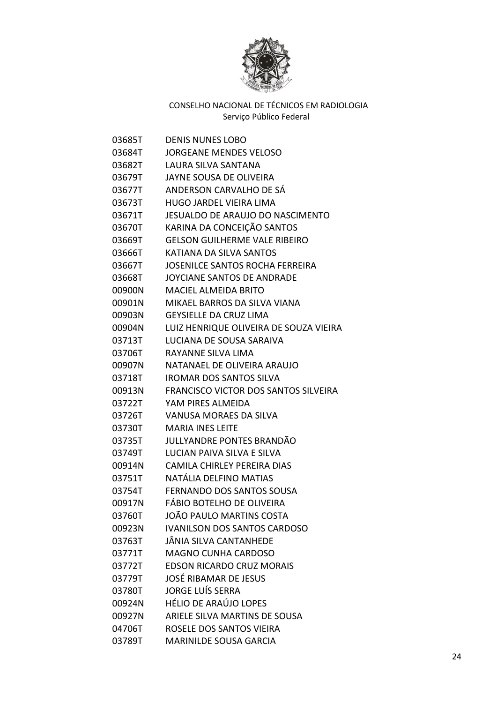

| 03685T | DENIS NUNES LOBO                        |
|--------|-----------------------------------------|
| 03684T | JORGEANE MENDES VELOSO                  |
| 03682T | LAURA SILVA SANTANA                     |
| 03679T | JAYNE SOUSA DE OLIVEIRA                 |
| 03677T | ANDERSON CARVALHO DE SÁ                 |
| 03673T | HUGO JARDEL VIEIRA LIMA                 |
| 03671T | <b>JESUALDO DE ARAUJO DO NASCIMENTO</b> |
| 03670T | KARINA DA CONCEIÇÃO SANTOS              |
| 03669T | <b>GELSON GUILHERME VALE RIBEIRO</b>    |
| 03666T | KATIANA DA SILVA SANTOS                 |
| 03667T | <b>JOSENILCE SANTOS ROCHA FERREIRA</b>  |
| 03668T | JOYCIANE SANTOS DE ANDRADE              |
| 00900N | <b>MACIEL ALMEIDA BRITO</b>             |
| 00901N | MIKAEL BARROS DA SILVA VIANA            |
| 00903N | <b>GEYSIELLE DA CRUZ LIMA</b>           |
| 00904N | LUIZ HENRIQUE OLIVEIRA DE SOUZA VIEIRA  |
| 03713T | LUCIANA DE SOUSA SARAIVA                |
| 03706T | RAYANNE SILVA LIMA                      |
| 00907N | NATANAEL DE OLIVEIRA ARAUJO             |
| 03718T | <b>IROMAR DOS SANTOS SILVA</b>          |
| 00913N | FRANCISCO VICTOR DOS SANTOS SILVEIRA    |
| 03722T | YAM PIRES ALMEIDA                       |
| 03726T | <b>VANUSA MORAES DA SILVA</b>           |
| 03730T | <b>MARIA INES LEITE</b>                 |
| 03735T | JULLYANDRE PONTES BRANDÃO               |
| 03749T | LUCIAN PAIVA SILVA E SILVA              |
| 00914N | CAMILA CHIRLEY PEREIRA DIAS             |
| 03751T | NATÁLIA DELFINO MATIAS                  |
| 03754T | <b>FERNANDO DOS SANTOS SOUSA</b>        |
| 00917N | FÁBIO BOTELHO DE OLIVEIRA               |
| 03760T | JOÃO PAULO MARTINS COSTA                |
| 00923N | <b>IVANILSON DOS SANTOS CARDOSO</b>     |
| 03763T | JÂNIA SILVA CANTANHEDE                  |
| 03771T | <b>MAGNO CUNHA CARDOSO</b>              |
| 03772T | <b>EDSON RICARDO CRUZ MORAIS</b>        |
| 03779T | <b>JOSÉ RIBAMAR DE JESUS</b>            |
| 03780T | <b>JORGE LUÍS SERRA</b>                 |
| 00924N | <b>HÉLIO DE ARAÚJO LOPES</b>            |
| 00927N | ARIELE SILVA MARTINS DE SOUSA           |
| 04706T | ROSELE DOS SANTOS VIEIRA                |
| 03789T | <b>MARINILDE SOUSA GARCIA</b>           |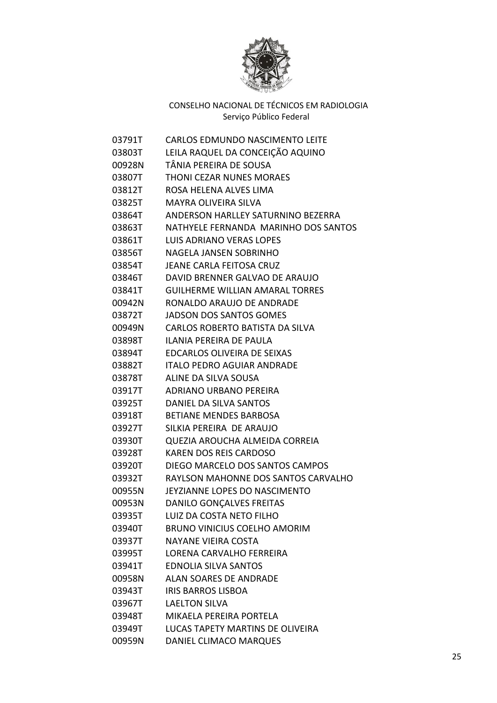

| 03791T | CARLOS EDMUNDO NASCIMENTO LEITE        |
|--------|----------------------------------------|
| 03803T | LEILA RAQUEL DA CONCEIÇÃO AQUINO       |
| 00928N | TÂNIA PEREIRA DE SOUSA                 |
| 03807T | <b>THONI CEZAR NUNES MORAES</b>        |
| 03812T | ROSA HELENA ALVES LIMA                 |
| 03825T | <b>MAYRA OLIVEIRA SILVA</b>            |
| 03864T | ANDERSON HARLLEY SATURNINO BEZERRA     |
| 03863T | NATHYELE FERNANDA MARINHO DOS SANTOS   |
| 03861T | <b>LUIS ADRIANO VERAS LOPES</b>        |
| 03856T | NAGELA JANSEN SOBRINHO                 |
| 03854T | JEANE CARLA FEITOSA CRUZ               |
| 03846T | DAVID BRENNER GALVAO DE ARAUJO         |
| 03841T | <b>GUILHERME WILLIAN AMARAL TORRES</b> |
| 00942N | RONALDO ARAUJO DE ANDRADE              |
| 03872T | <b>JADSON DOS SANTOS GOMES</b>         |
| 00949N | CARLOS ROBERTO BATISTA DA SILVA        |
| 03898T | ILANIA PEREIRA DE PAULA                |
| 03894T | EDCARLOS OLIVEIRA DE SEIXAS            |
| 03882T | <b>ITALO PEDRO AGUIAR ANDRADE</b>      |
| 03878T | ALINE DA SILVA SOUSA                   |
| 03917T | ADRIANO URBANO PEREIRA                 |
| 03925T | DANIEL DA SILVA SANTOS                 |
| 03918T | <b>BETIANE MENDES BARBOSA</b>          |
| 03927T | SILKIA PEREIRA DE ARAUJO               |
| 03930T | QUEZIA AROUCHA ALMEIDA CORREIA         |
| 03928T | KAREN DOS REIS CARDOSO                 |
| 03920T | DIEGO MARCELO DOS SANTOS CAMPOS        |
| 03932T | RAYLSON MAHONNE DOS SANTOS CARVALHO    |
| 00955N | JEYZIANNE LOPES DO NASCIMENTO          |
| 00953N | DANILO GONÇALVES FREITAS               |
| 03935T | LUIZ DA COSTA NETO FILHO               |
| 03940T | <b>BRUNO VINICIUS COELHO AMORIM</b>    |
| 03937T | NAYANE VIEIRA COSTA                    |
| 03995T | LORENA CARVALHO FERREIRA               |
| 03941T | <b>EDNOLIA SILVA SANTOS</b>            |
| 00958N | <b>ALAN SOARES DE ANDRADE</b>          |
| 03943T | <b>IRIS BARROS LISBOA</b>              |
| 03967T | <b>LAELTON SILVA</b>                   |
| 03948T | MIKAELA PEREIRA PORTELA                |
| 03949T | LUCAS TAPETY MARTINS DE OLIVEIRA       |
| 00959N | DANIEL CLIMACO MARQUES                 |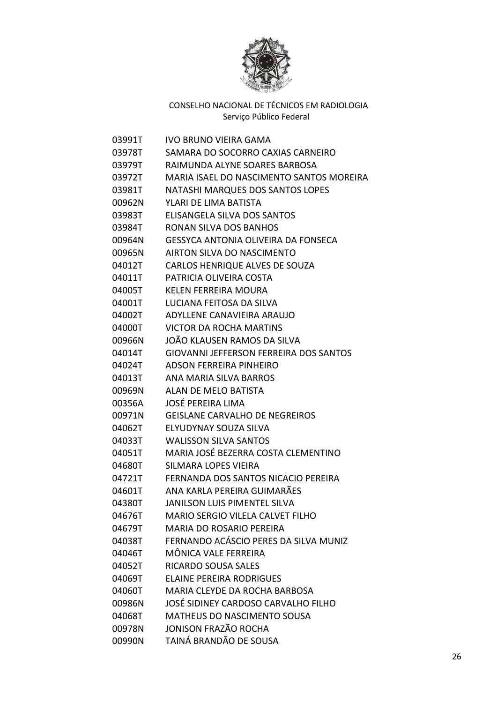

| 03991T | IVO BRUNO VIEIRA GAMA                         |
|--------|-----------------------------------------------|
| 03978T | SAMARA DO SOCORRO CAXIAS CARNEIRO             |
| 03979T | RAIMUNDA ALYNE SOARES BARBOSA                 |
| 03972T | MARIA ISAEL DO NASCIMENTO SANTOS MOREIRA      |
| 03981T | NATASHI MARQUES DOS SANTOS LOPES              |
| 00962N | YLARI DE LIMA BATISTA                         |
| 03983T | ELISANGELA SILVA DOS SANTOS                   |
| 03984T | <b>RONAN SILVA DOS BANHOS</b>                 |
| 00964N | <b>GESSYCA ANTONIA OLIVEIRA DA FONSECA</b>    |
| 00965N | AIRTON SILVA DO NASCIMENTO                    |
| 04012T | CARLOS HENRIQUE ALVES DE SOUZA                |
| 04011T | PATRICIA OLIVEIRA COSTA                       |
| 04005T | <b>KELEN FERREIRA MOURA</b>                   |
| 04001T | LUCIANA FEITOSA DA SILVA                      |
| 04002T | ADYLLENE CANAVIEIRA ARAUJO                    |
| 04000T | <b>VICTOR DA ROCHA MARTINS</b>                |
| 00966N | JOÃO KLAUSEN RAMOS DA SILVA                   |
| 04014T | <b>GIOVANNI JEFFERSON FERREIRA DOS SANTOS</b> |
| 04024T | ADSON FERREIRA PINHEIRO                       |
| 04013T | ANA MARIA SILVA BARROS                        |
| 00969N | ALAN DE MELO BATISTA                          |
| 00356A | JOSÉ PEREIRA LIMA                             |
| 00971N | <b>GEISLANE CARVALHO DE NEGREIROS</b>         |
| 04062T | ELYUDYNAY SOUZA SILVA                         |
| 04033T | <b>WALISSON SILVA SANTOS</b>                  |
| 04051T | MARIA JOSÉ BEZERRA COSTA CLEMENTINO           |
| 04680T | SILMARA LOPES VIEIRA                          |
| 04721T | FERNANDA DOS SANTOS NICACIO PEREIRA           |
| 04601T | ANA KARLA PEREIRA GUIMARÃES                   |
| 04380T | JANILSON LUIS PIMENTEL SILVA                  |
| 04676T | MARIO SERGIO VILELA CALVET FILHO              |
| 04679T | <b>MARIA DO ROSARIO PEREIRA</b>               |
| 04038T | FERNANDO ACÁSCIO PERES DA SILVA MUNIZ         |
| 04046T | MÔNICA VALE FERREIRA                          |
| 04052T | RICARDO SOUSA SALES                           |
| 04069T | <b>ELAINE PEREIRA RODRIGUES</b>               |
| 04060T | MARIA CLEYDE DA ROCHA BARBOSA                 |
| 00986N | JOSÉ SIDINEY CARDOSO CARVALHO FILHO           |
| 04068T | MATHEUS DO NASCIMENTO SOUSA                   |
| 00978N | JONISON FRAZÃO ROCHA                          |
| 00990N | TAINÁ BRANDÃO DE SOUSA                        |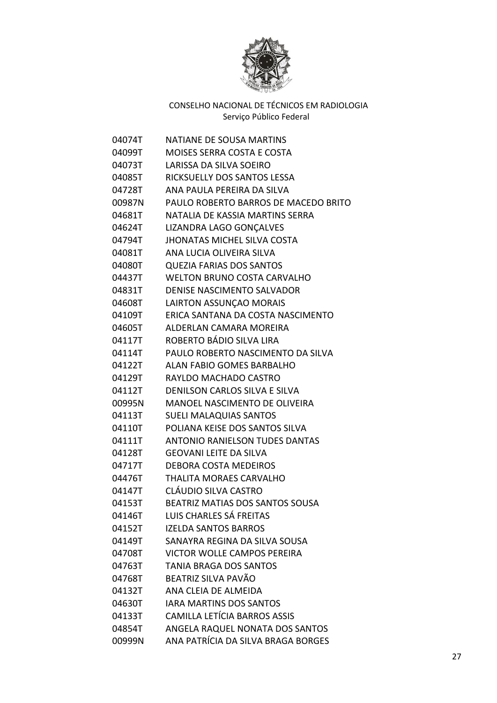

| 04074T | <b>NATIANE DE SOUSA MARTINS</b>       |
|--------|---------------------------------------|
| 04099T | <b>MOISES SERRA COSTA E COSTA</b>     |
| 04073T | LARISSA DA SILVA SOEIRO               |
| 04085T | RICKSUELLY DOS SANTOS LESSA           |
| 04728T | ANA PAULA PEREIRA DA SILVA            |
| 00987N | PAULO ROBERTO BARROS DE MACEDO BRITO  |
| 04681T | NATALIA DE KASSIA MARTINS SERRA       |
| 04624T | LIZANDRA LAGO GONCALVES               |
| 04794T | <b>JHONATAS MICHEL SILVA COSTA</b>    |
| 04081T | ANA LUCIA OLIVEIRA SILVA              |
| 04080T | <b>QUEZIA FARIAS DOS SANTOS</b>       |
| 04437T | WELTON BRUNO COSTA CARVALHO           |
| 04831T | <b>DENISE NASCIMENTO SALVADOR</b>     |
| 04608T | LAIRTON ASSUNÇAO MORAIS               |
| 04109T | ERICA SANTANA DA COSTA NASCIMENTO     |
| 04605T | ALDERLAN CAMARA MOREIRA               |
| 04117T | ROBERTO BÁDIO SILVA LIRA              |
| 04114T | PAULO ROBERTO NASCIMENTO DA SILVA     |
| 04122T | <b>ALAN FABIO GOMES BARBALHO</b>      |
| 04129T | RAYLDO MACHADO CASTRO                 |
| 04112T | DENILSON CARLOS SILVA E SILVA         |
| 00995N | <b>MANOEL NASCIMENTO DE OLIVEIRA</b>  |
| 04113T | <b>SUELI MALAQUIAS SANTOS</b>         |
| 04110T | POLIANA KEISE DOS SANTOS SILVA        |
| 04111T | <b>ANTONIO RANIELSON TUDES DANTAS</b> |
| 04128T | <b>GEOVANI LEITE DA SILVA</b>         |
| 04717T | <b>DEBORA COSTA MEDEIROS</b>          |
| 04476T | THALITA MORAES CARVALHO               |
| 04147T | CLÁUDIO SILVA CASTRO                  |
| 04153T | BEATRIZ MATIAS DOS SANTOS SOUSA       |
| 04146T | LUIS CHARLES SÁ FREITAS               |
| 04152T | <b>IZELDA SANTOS BARROS</b>           |
| 04149T | SANAYRA REGINA DA SILVA SOUSA         |
| 04708T | <b>VICTOR WOLLE CAMPOS PEREIRA</b>    |
| 04763T | <b>TANIA BRAGA DOS SANTOS</b>         |
| 04768T | BEATRIZ SILVA PAVÃO                   |
| 04132T | ANA CLEIA DE ALMEIDA                  |
| 04630T | <b>IARA MARTINS DOS SANTOS</b>        |
| 04133T | CAMILLA LETÍCIA BARROS ASSIS          |
| 04854T | ANGELA RAQUEL NONATA DOS SANTOS       |
| 00999N | ANA PATRÍCIA DA SILVA BRAGA BORGES    |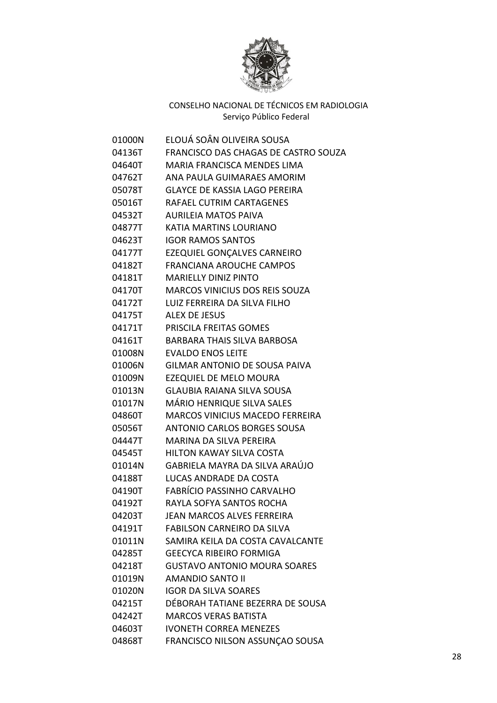

| 01000N | ELOUÁ SOÂN OLIVEIRA SOUSA              |
|--------|----------------------------------------|
| 04136T | FRANCISCO DAS CHAGAS DE CASTRO SOUZA   |
| 04640T | <b>MARIA FRANCISCA MENDES LIMA</b>     |
| 04762T | ANA PAULA GUIMARAES AMORIM             |
| 05078T | <b>GLAYCE DE KASSIA LAGO PEREIRA</b>   |
| 05016T | RAFAEL CUTRIM CARTAGENES               |
| 04532T | <b>AURILEIA MATOS PAIVA</b>            |
| 04877T | <b>KATIA MARTINS LOURIANO</b>          |
| 04623T | <b>IGOR RAMOS SANTOS</b>               |
| 04177T | EZEQUIEL GONÇALVES CARNEIRO            |
| 04182T | <b>FRANCIANA AROUCHE CAMPOS</b>        |
| 04181T | <b>MARIELLY DINIZ PINTO</b>            |
| 04170T | <b>MARCOS VINICIUS DOS REIS SOUZA</b>  |
| 04172T | LUIZ FERREIRA DA SILVA FILHO           |
| 04175T | <b>ALEX DE JESUS</b>                   |
| 04171T | PRISCILA FREITAS GOMES                 |
| 04161T | <b>BARBARA THAIS SILVA BARBOSA</b>     |
| 01008N | <b>EVALDO ENOS LEITE</b>               |
| 01006N | <b>GILMAR ANTONIO DE SOUSA PAIVA</b>   |
| 01009N | <b>EZEQUIEL DE MELO MOURA</b>          |
| 01013N | <b>GLAUBIA RAIANA SILVA SOUSA</b>      |
| 01017N | MÁRIO HENRIQUE SILVA SALES             |
| 04860T | <b>MARCOS VINICIUS MACEDO FERREIRA</b> |
| 05056T | <b>ANTONIO CARLOS BORGES SOUSA</b>     |
| 04447T | MARINA DA SILVA PEREIRA                |
| 04545T | <b>HILTON KAWAY SILVA COSTA</b>        |
| 01014N | <b>GABRIELA MAYRA DA SILVA ARAÚJO</b>  |
| 04188T | LUCAS ANDRADE DA COSTA                 |
| 04190T | FABRÍCIO PASSINHO CARVALHO             |
| 04192T | RAYLA SOFYA SANTOS ROCHA               |
| 04203T | <b>JEAN MARCOS ALVES FERREIRA</b>      |
| 04191T | <b>FABILSON CARNEIRO DA SILVA</b>      |
| 01011N | SAMIRA KEILA DA COSTA CAVALCANTE       |
| 04285T | <b>GEECYCA RIBEIRO FORMIGA</b>         |
| 04218T | <b>GUSTAVO ANTONIO MOURA SOARES</b>    |
| 01019N | <b>AMANDIO SANTO II</b>                |
| 01020N | <b>IGOR DA SILVA SOARES</b>            |
| 04215T | DÉBORAH TATIANE BEZERRA DE SOUSA       |
| 04242T | <b>MARCOS VERAS BATISTA</b>            |
| 04603T | <b>IVONETH CORREA MENEZES</b>          |
| 04868T | FRANCISCO NILSON ASSUNÇÃO SOUSA        |
|        |                                        |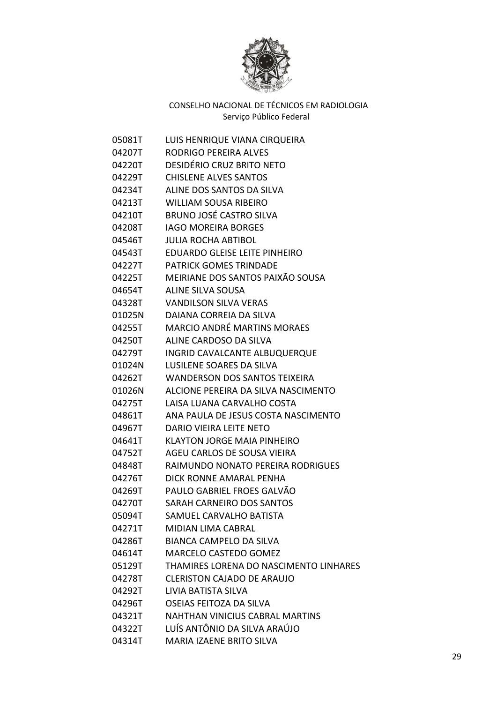

| 05081T | LUIS HENRIQUE VIANA CIRQUEIRA          |
|--------|----------------------------------------|
| 04207T | <b>RODRIGO PEREIRA ALVES</b>           |
| 04220T | DESIDÉRIO CRUZ BRITO NETO              |
| 04229T | <b>CHISLENE ALVES SANTOS</b>           |
| 04234T | ALINE DOS SANTOS DA SILVA              |
| 04213T | <b>WILLIAM SOUSA RIBEIRO</b>           |
| 04210T | <b>BRUNO JOSÉ CASTRO SILVA</b>         |
| 04208T | <b>IAGO MOREIRA BORGES</b>             |
| 04546T | <b>JULIA ROCHA ABTIBOL</b>             |
| 04543T | <b>EDUARDO GLEISE LEITE PINHEIRO</b>   |
| 04227T | PATRICK GOMES TRINDADE                 |
| 04225T | MEIRIANE DOS SANTOS PAIXÃO SOUSA       |
| 04654T | <b>ALINE SILVA SOUSA</b>               |
| 04328T | <b>VANDILSON SILVA VERAS</b>           |
| 01025N | DAIANA CORREIA DA SILVA                |
| 04255T | <b>MARCIO ANDRÉ MARTINS MORAES</b>     |
| 04250T | ALINE CARDOSO DA SILVA                 |
| 04279T | INGRID CAVALCANTE ALBUQUERQUE          |
| 01024N | LUSILENE SOARES DA SILVA               |
| 04262T | <b>WANDERSON DOS SANTOS TEIXEIRA</b>   |
| 01026N | ALCIONE PEREIRA DA SILVA NASCIMENTO    |
| 04275T | LAISA LUANA CARVALHO COSTA             |
| 04861T | ANA PAULA DE JESUS COSTA NASCIMENTO    |
| 04967T | DARIO VIEIRA LEITE NETO                |
| 04641T | <b>KLAYTON JORGE MAIA PINHEIRO</b>     |
| 04752T | AGEU CARLOS DE SOUSA VIEIRA            |
| 04848T | RAIMUNDO NONATO PEREIRA RODRIGUES      |
| 04276T | DICK RONNE AMARAL PENHA                |
| 04269T | PAULO GABRIEL FROES GALVÃO             |
| 04270T | SARAH CARNEIRO DOS SANTOS              |
| 05094T | SAMUEL CARVALHO BATISTA                |
| 04271T | <b>MIDIAN LIMA CABRAL</b>              |
| 04286T | <b>BIANCA CAMPELO DA SILVA</b>         |
| 04614T | <b>MARCELO CASTEDO GOMEZ</b>           |
| 05129T | THAMIRES LORENA DO NASCIMENTO LINHARES |
| 04278T | <b>CLERISTON CAJADO DE ARAUJO</b>      |
| 04292T | LIVIA BATISTA SILVA                    |
| 04296T | OSEIAS FEITOZA DA SILVA                |
| 04321T | <b>NAHTHAN VINICIUS CABRAL MARTINS</b> |
| 04322T | LUÍS ANTÔNIO DA SILVA ARAÚJO           |
| 04314T | MARIA IZAENE BRITO SILVA               |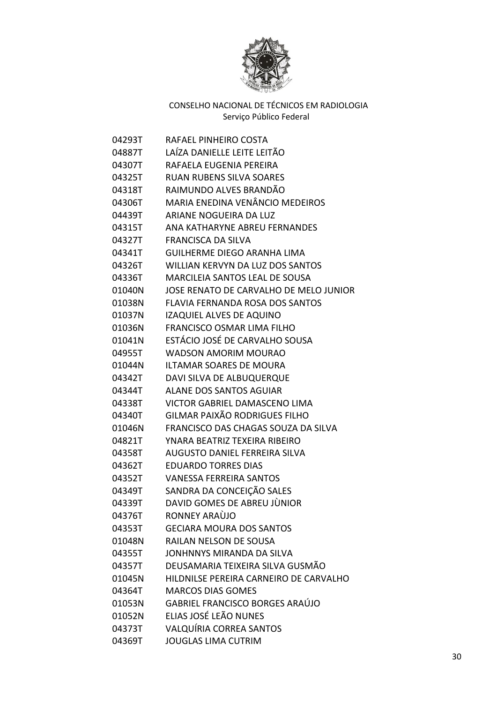

| 04293T | RAFAEL PINHEIRO COSTA                  |
|--------|----------------------------------------|
| 04887T | LAÍZA DANIELLE LEITE LEITÃO            |
| 04307T | RAFAELA EUGENIA PEREIRA                |
| 04325T | <b>RUAN RUBENS SILVA SOARES</b>        |
| 04318T | RAIMUNDO ALVES BRANDÃO                 |
| 04306T | MARIA ENEDINA VENÂNCIO MEDEIROS        |
| 04439T | ARIANE NOGUEIRA DA LUZ                 |
| 04315T | ANA KATHARYNE ABREU FERNANDES          |
| 04327T | <b>FRANCISCA DA SILVA</b>              |
| 04341T | <b>GUILHERME DIEGO ARANHA LIMA</b>     |
| 04326T | WILLIAN KERVYN DA LUZ DOS SANTOS       |
| 04336T | <b>MARCILEIA SANTOS LEAL DE SOUSA</b>  |
| 01040N | JOSE RENATO DE CARVALHO DE MELO JUNIOR |
| 01038N | FLAVIA FERNANDA ROSA DOS SANTOS        |
| 01037N | IZAQUIEL ALVES DE AQUINO               |
| 01036N | <b>FRANCISCO OSMAR LIMA FILHO</b>      |
| 01041N | ESTÁCIO JOSÉ DE CARVALHO SOUSA         |
| 04955T | <b>WADSON AMORIM MOURAO</b>            |
| 01044N | ILTAMAR SOARES DE MOURA                |
| 04342T | DAVI SILVA DE ALBUQUERQUE              |
| 04344T | <b>ALANE DOS SANTOS AGUIAR</b>         |
| 04338T | VICTOR GABRIEL DAMASCENO LIMA          |
| 04340T | GILMAR PAIXÃO RODRIGUES FILHO          |
| 01046N | FRANCISCO DAS CHAGAS SOUZA DA SILVA    |
| 04821T | YNARA BEATRIZ TEXEIRA RIBEIRO          |
| 04358T | AUGUSTO DANIEL FERREIRA SILVA          |
| 04362T | <b>EDUARDO TORRES DIAS</b>             |
| 04352T | <b>VANESSA FERREIRA SANTOS</b>         |
| 04349T | SANDRA DA CONCEIÇÃO SALES              |
| 04339T | DAVID GOMES DE ABREU JÙNIOR            |
| 04376T | RONNEY ARAÙJO                          |
| 04353T | <b>GECIARA MOURA DOS SANTOS</b>        |
| 01048N | RAILAN NELSON DE SOUSA                 |
| 04355T | JONHNNYS MIRANDA DA SILVA              |
| 04357T | DEUSAMARIA TEIXEIRA SILVA GUSMÃO       |
| 01045N | HILDNILSE PEREIRA CARNEIRO DE CARVALHO |
| 04364T | <b>MARCOS DIAS GOMES</b>               |
| 01053N | <b>GABRIEL FRANCISCO BORGES ARAÚJO</b> |
| 01052N | ELIAS JOSÉ LEÃO NUNES                  |
| 04373T | VALQUÍRIA CORREA SANTOS                |
| 04369T | <b>JOUGLAS LIMA CUTRIM</b>             |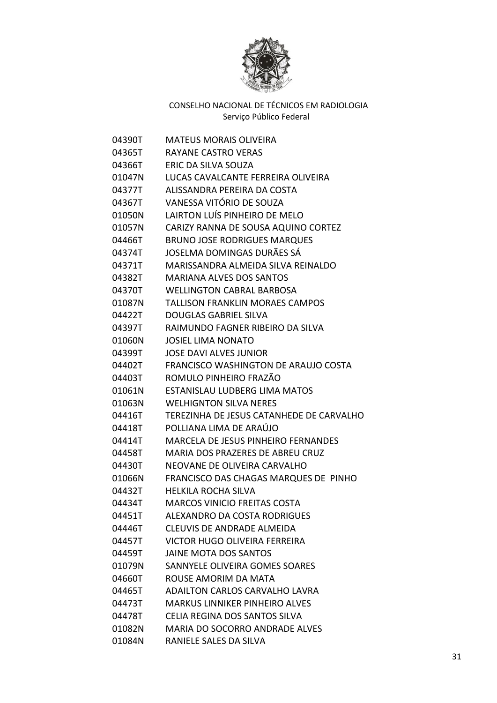

| 04390T | <b>MATEUS MORAIS OLIVEIRA</b>              |
|--------|--------------------------------------------|
| 04365T | RAYANE CASTRO VERAS                        |
| 04366T | ERIC DA SILVA SOUZA                        |
| 01047N | LUCAS CAVALCANTE FERREIRA OLIVEIRA         |
| 04377T | ALISSANDRA PEREIRA DA COSTA                |
| 04367T | VANESSA VITÓRIO DE SOUZA                   |
| 01050N | LAIRTON LUÍS PINHEIRO DE MELO              |
| 01057N | CARIZY RANNA DE SOUSA AQUINO CORTEZ        |
| 04466T | <b>BRUNO JOSE RODRIGUES MARQUES</b>        |
| 04374T | JOSELMA DOMINGAS DURÃES SÁ                 |
| 04371T | MARISSANDRA ALMEIDA SILVA REINALDO         |
| 04382T | <b>MARIANA ALVES DOS SANTOS</b>            |
| 04370T | <b>WELLINGTON CABRAL BARBOSA</b>           |
| 01087N | <b>TALLISON FRANKLIN MORAES CAMPOS</b>     |
| 04422T | <b>DOUGLAS GABRIEL SILVA</b>               |
| 04397T | RAIMUNDO FAGNER RIBEIRO DA SILVA           |
| 01060N | JOSIEL LIMA NONATO                         |
| 04399T | <b>JOSE DAVI ALVES JUNIOR</b>              |
| 04402T | FRANCISCO WASHINGTON DE ARAUJO COSTA       |
| 04403T | ROMULO PINHEIRO FRAZÃO                     |
| 01061N | <b>ESTANISLAU LUDBERG LIMA MATOS</b>       |
| 01063N | <b>WELHIGNTON SILVA NERES</b>              |
| 04416T | TEREZINHA DE JESUS CATANHEDE DE CARVALHO   |
| 04418T | POLLIANA LIMA DE ARAÚJO                    |
| 04414T | <b>MARCELA DE JESUS PINHEIRO FERNANDES</b> |
| 04458T | MARIA DOS PRAZERES DE ABREU CRUZ           |
| 04430T | NEOVANE DE OLIVEIRA CARVALHO               |
| 01066N | FRANCISCO DAS CHAGAS MARQUES DE PINHO      |
| 04432T | <b>HELKILA ROCHA SILVA</b>                 |
| 04434T | <b>MARCOS VINICIO FREITAS COSTA</b>        |
| 04451T | <b>ALEXANDRO DA COSTA RODRIGUES</b>        |
| 04446T | CLEUVIS DE ANDRADE ALMEIDA                 |
| 04457T | VICTOR HUGO OLIVEIRA FERREIRA              |
| 04459T | <b>JAINE MOTA DOS SANTOS</b>               |
| 01079N | SANNYELE OLIVEIRA GOMES SOARES             |
| 04660T | ROUSE AMORIM DA MATA                       |
| 04465T | ADAILTON CARLOS CARVALHO LAVRA             |
| 04473T | <b>MARKUS LINNIKER PINHEIRO ALVES</b>      |
| 04478T | CELIA REGINA DOS SANTOS SILVA              |
| 01082N | <b>MARIA DO SOCORRO ANDRADE ALVES</b>      |
| 01084N | RANIELE SALES DA SILVA                     |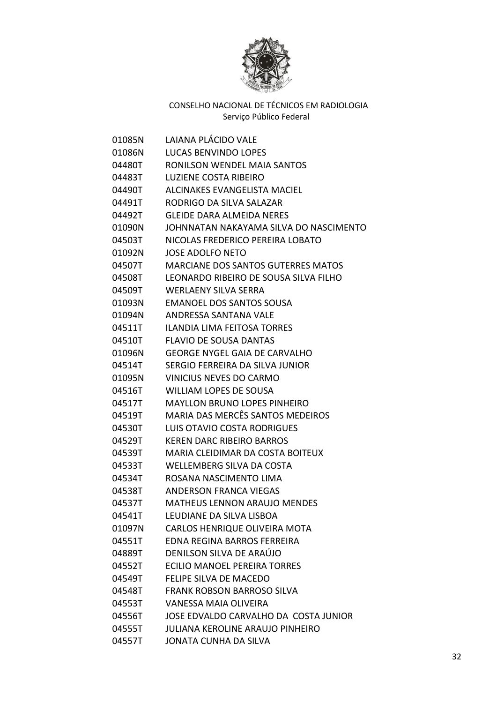

| 01085N | LAIANA PLÁCIDO VALE                       |
|--------|-------------------------------------------|
| 01086N | <b>LUCAS BENVINDO LOPES</b>               |
| 04480T | RONILSON WENDEL MAIA SANTOS               |
| 04483T | <b>LUZIENE COSTA RIBEIRO</b>              |
| 04490T | ALCINAKES EVANGELISTA MACIEL              |
| 04491T | RODRIGO DA SILVA SALAZAR                  |
| 04492T | <b>GLEIDE DARA ALMEIDA NERES</b>          |
| 01090N | JOHNNATAN NAKAYAMA SILVA DO NASCIMENTO    |
| 04503T | NICOLAS FREDERICO PEREIRA LOBATO          |
| 01092N | <b>JOSE ADOLFO NETO</b>                   |
| 04507T | <b>MARCIANE DOS SANTOS GUTERRES MATOS</b> |
| 04508T | LEONARDO RIBEIRO DE SOUSA SILVA FILHO     |
| 04509T | <b>WERLAENY SILVA SERRA</b>               |
| 01093N | <b>EMANOEL DOS SANTOS SOUSA</b>           |
| 01094N | ANDRESSA SANTANA VALE                     |
| 04511T | ILANDIA LIMA FEITOSA TORRES               |
| 04510T | <b>FLAVIO DE SOUSA DANTAS</b>             |
| 01096N | <b>GEORGE NYGEL GAIA DE CARVALHO</b>      |
| 04514T | SERGIO FERREIRA DA SILVA JUNIOR           |
| 01095N | VINICIUS NEVES DO CARMO                   |
| 04516T | WILLIAM LOPES DE SOUSA                    |
| 04517T | <b>MAYLLON BRUNO LOPES PINHEIRO</b>       |
| 04519T | <b>MARIA DAS MERCÊS SANTOS MEDEIROS</b>   |
| 04530T | LUIS OTAVIO COSTA RODRIGUES               |
| 04529T | <b>KEREN DARC RIBEIRO BARROS</b>          |
| 04539T | MARIA CLEIDIMAR DA COSTA BOITEUX          |
| 04533T | <b>WELLEMBERG SILVA DA COSTA</b>          |
| 04534T | ROSANA NASCIMENTO LIMA                    |
| 04538T | ANDERSON FRANCA VIEGAS                    |
| 04537T | <b>MATHEUS LENNON ARAUJO MENDES</b>       |
| 04541T | LEUDIANE DA SILVA LISBOA                  |
| 01097N | CARLOS HENRIQUE OLIVEIRA MOTA             |
| 04551T | <b>EDNA REGINA BARROS FERREIRA</b>        |
| 04889T | DENILSON SILVA DE ARAÚJO                  |
| 04552T | ECILIO MANOEL PEREIRA TORRES              |
| 04549T | <b>FELIPE SILVA DE MACEDO</b>             |
| 04548T | <b>FRANK ROBSON BARROSO SILVA</b>         |
| 04553T | VANESSA MAIA OLIVEIRA                     |
| 04556T | JOSE EDVALDO CARVALHO DA COSTA JUNIOR     |
| 04555T | <b>JULIANA KEROLINE ARAUJO PINHEIRO</b>   |
| 04557T | JONATA CUNHA DA SILVA                     |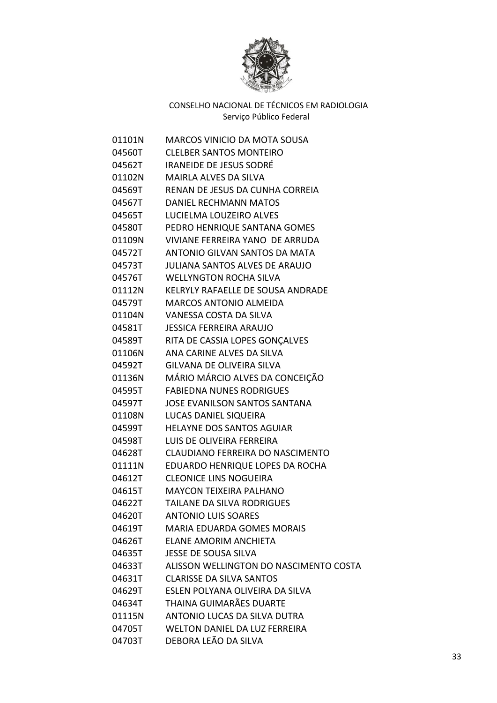

| 01101N | <b>MARCOS VINICIO DA MOTA SOUSA</b>    |
|--------|----------------------------------------|
| 04560T | <b>CLELBER SANTOS MONTEIRO</b>         |
| 04562T | <b>IRANEIDE DE JESUS SODRÉ</b>         |
| 01102N | MAIRLA ALVES DA SILVA                  |
| 04569T | RENAN DE JESUS DA CUNHA CORREIA        |
| 04567T | DANIEL RECHMANN MATOS                  |
| 04565T | LUCIELMA LOUZEIRO ALVES                |
| 04580T | PEDRO HENRIQUE SANTANA GOMES           |
| 01109N | VIVIANE FERREIRA YANO DE ARRUDA        |
| 04572T | ANTONIO GILVAN SANTOS DA MATA          |
| 04573T | <b>JULIANA SANTOS ALVES DE ARAUJO</b>  |
| 04576T | <b>WELLYNGTON ROCHA SILVA</b>          |
| 01112N | KELRYLY RAFAELLE DE SOUSA ANDRADE      |
| 04579T | <b>MARCOS ANTONIO ALMEIDA</b>          |
| 01104N | VANESSA COSTA DA SILVA                 |
| 04581T | <b>JESSICA FERREIRA ARAUJO</b>         |
| 04589T | RITA DE CASSIA LOPES GONÇALVES         |
| 01106N | ANA CARINE ALVES DA SILVA              |
| 04592T | <b>GILVANA DE OLIVEIRA SILVA</b>       |
| 01136N | MÁRIO MÁRCIO ALVES DA CONCEIÇÃO        |
| 04595T | <b>FABIEDNA NUNES RODRIGUES</b>        |
| 04597T | <b>JOSE EVANILSON SANTOS SANTANA</b>   |
| 01108N | LUCAS DANIEL SIQUEIRA                  |
| 04599T | <b>HELAYNE DOS SANTOS AGUIAR</b>       |
| 04598T | LUIS DE OLIVEIRA FERREIRA              |
| 04628T | CLAUDIANO FERREIRA DO NASCIMENTO       |
| 01111N | EDUARDO HENRIQUE LOPES DA ROCHA        |
| 04612T | <b>CLEONICE LINS NOGUEIRA</b>          |
| 04615T | <b>MAYCON TEIXEIRA PALHANO</b>         |
| 04622T | <b>TAILANE DA SILVA RODRIGUES</b>      |
| 04620T | <b>ANTONIO LUIS SOARES</b>             |
| 04619T | <b>MARIA EDUARDA GOMES MORAIS</b>      |
| 04626T | <b>ELANE AMORIM ANCHIETA</b>           |
| 04635T | JESSE DE SOUSA SILVA                   |
| 04633T | ALISSON WELLINGTON DO NASCIMENTO COSTA |
| 04631T | <b>CLARISSE DA SILVA SANTOS</b>        |
| 04629T | ESLEN POLYANA OLIVEIRA DA SILVA        |
| 04634T | THAINA GUIMARÃES DUARTE                |
| 01115N | ANTONIO LUCAS DA SILVA DUTRA           |
| 04705T | <b>WELTON DANIEL DA LUZ FERREIRA</b>   |
| 04703T | DEBORA LEÃO DA SILVA                   |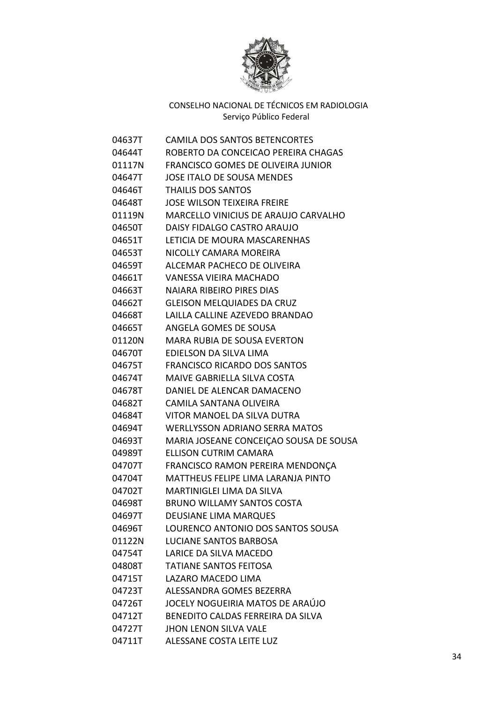

| 04637T | <b>CAMILA DOS SANTOS BETENCORTES</b>      |
|--------|-------------------------------------------|
| 04644T | ROBERTO DA CONCEICAO PEREIRA CHAGAS       |
| 01117N | <b>FRANCISCO GOMES DE OLIVEIRA JUNIOR</b> |
| 04647T | JOSE ITALO DE SOUSA MENDES                |
| 04646T | <b>THAILIS DOS SANTOS</b>                 |
| 04648T | <b>JOSE WILSON TEIXEIRA FREIRE</b>        |
| 01119N | MARCELLO VINICIUS DE ARAUJO CARVALHO      |
| 04650T | DAISY FIDALGO CASTRO ARAUJO               |
| 04651T | LETICIA DE MOURA MASCARENHAS              |
| 04653T | NICOLLY CAMARA MOREIRA                    |
| 04659T | ALCEMAR PACHECO DE OLIVEIRA               |
| 04661T | <b>VANESSA VIEIRA MACHADO</b>             |
| 04663T | <b>NAIARA RIBEIRO PIRES DIAS</b>          |
| 04662T | <b>GLEISON MELQUIADES DA CRUZ</b>         |
| 04668T | LAILLA CALLINE AZEVEDO BRANDAO            |
| 04665T | ANGELA GOMES DE SOUSA                     |
| 01120N | <b>MARA RUBIA DE SOUSA EVERTON</b>        |
| 04670T | EDIELSON DA SILVA LIMA                    |
| 04675T | <b>FRANCISCO RICARDO DOS SANTOS</b>       |
| 04674T | MAIVE GABRIELLA SILVA COSTA               |
| 04678T | DANIEL DE ALENCAR DAMACENO                |
| 04682T | CAMILA SANTANA OLIVEIRA                   |
| 04684T | VITOR MANOEL DA SILVA DUTRA               |
| 04694T | <b>WERLLYSSON ADRIANO SERRA MATOS</b>     |
| 04693T | MARIA JOSEANE CONCEIÇAO SOUSA DE SOUSA    |
| 04989T | ELLISON CUTRIM CAMARA                     |
| 04707T | FRANCISCO RAMON PEREIRA MENDONÇA          |
| 04704T | MATTHEUS FELIPE LIMA LARANJA PINTO        |
| 04702T | <b>MARTINIGLEI LIMA DA SILVA</b>          |
| 04698T | <b>BRUNO WILLAMY SANTOS COSTA</b>         |
| 04697T | <b>DEUSIANE LIMA MARQUES</b>              |
| 04696T | LOURENCO ANTONIO DOS SANTOS SOUSA         |
| 01122N | LUCIANE SANTOS BARBOSA                    |
| 04754T | LARICE DA SILVA MACEDO                    |
| 04808T | <b>TATIANE SANTOS FEITOSA</b>             |
| 04715T | LAZARO MACEDO LIMA                        |
| 04723T | ALESSANDRA GOMES BEZERRA                  |
| 04726T | JOCELY NOGUEIRIA MATOS DE ARAÚJO          |
| 04712T | BENEDITO CALDAS FERREIRA DA SILVA         |
| 04727T | <b>JHON LENON SILVA VALE</b>              |
| 04711T | ALESSANE COSTA LEITE LUZ                  |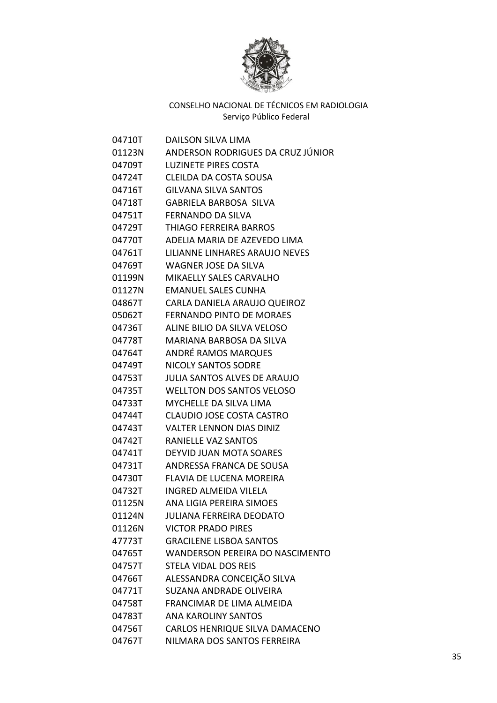

| 04710T | <b>DAILSON SILVA LIMA</b>              |
|--------|----------------------------------------|
| 01123N | ANDERSON RODRIGUES DA CRUZ JÚNIOR      |
| 04709T | <b>LUZINETE PIRES COSTA</b>            |
| 04724T | CLEILDA DA COSTA SOUSA                 |
| 04716T | <b>GILVANA SILVA SANTOS</b>            |
| 04718T | <b>GABRIELA BARBOSA SILVA</b>          |
| 04751T | <b>FERNANDO DA SILVA</b>               |
| 04729T | <b>THIAGO FERREIRA BARROS</b>          |
| 04770T | ADELIA MARIA DE AZEVEDO LIMA           |
| 04761T | LILIANNE LINHARES ARAUJO NEVES         |
| 04769T | <b>WAGNER JOSE DA SILVA</b>            |
| 01199N | <b>MIKAELLY SALES CARVALHO</b>         |
| 01127N | <b>EMANUEL SALES CUNHA</b>             |
| 04867T | CARLA DANIELA ARAUJO QUEIROZ           |
| 05062T | <b>FERNANDO PINTO DE MORAES</b>        |
| 04736T | ALINE BILIO DA SILVA VELOSO            |
| 04778T | <b>MARIANA BARBOSA DA SILVA</b>        |
| 04764T | ANDRÉ RAMOS MARQUES                    |
| 04749T | <b>NICOLY SANTOS SODRE</b>             |
| 04753T | JULIA SANTOS ALVES DE ARAUJO           |
| 04735T | <b>WELLTON DOS SANTOS VELOSO</b>       |
| 04733T | <b>MYCHELLE DA SILVA LIMA</b>          |
| 04744T | CLAUDIO JOSE COSTA CASTRO              |
| 04743T | <b>VALTER LENNON DIAS DINIZ</b>        |
| 04742T | <b>RANIELLE VAZ SANTOS</b>             |
| 04741T | DEYVID JUAN MOTA SOARES                |
| 04731T | ANDRESSA FRANCA DE SOUSA               |
| 04730T | FLAVIA DE LUCENA MOREIRA               |
| 04732T | <b>INGRED ALMEIDA VILELA</b>           |
| 01125N | ANA LIGIA PEREIRA SIMOES               |
| 01124N | <b>JULIANA FERREIRA DEODATO</b>        |
| 01126N | <b>VICTOR PRADO PIRES</b>              |
| 47773T | <b>GRACILENE LISBOA SANTOS</b>         |
| 04765T | <b>WANDERSON PEREIRA DO NASCIMENTO</b> |
| 04757T | <b>STELA VIDAL DOS REIS</b>            |
| 04766T | ALESSANDRA CONCEIÇÃO SILVA             |
| 04771T | <b>SUZANA ANDRADE OLIVEIRA</b>         |
| 04758T | FRANCIMAR DE LIMA ALMEIDA              |
| 04783T | <b>ANA KAROLINY SANTOS</b>             |
| 04756T | CARLOS HENRIQUE SILVA DAMACENO         |
| 04767T | NILMARA DOS SANTOS FERREIRA            |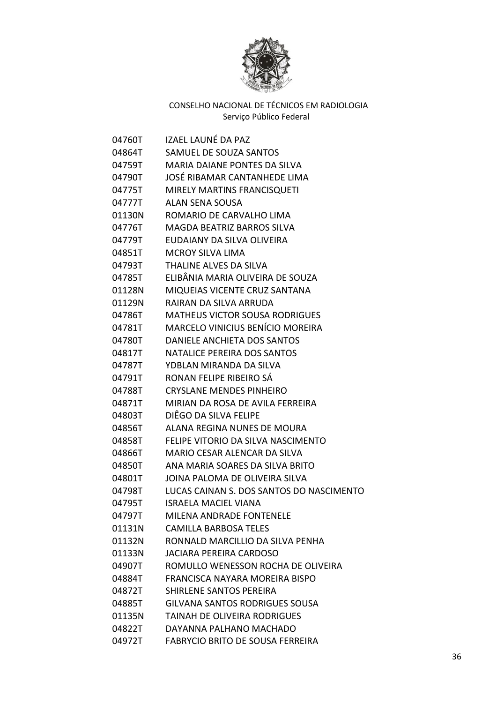

| 04760T | IZAEL LAUNÉ DA PAZ                       |
|--------|------------------------------------------|
| 04864T | SAMUEL DE SOUZA SANTOS                   |
| 04759T | <b>MARIA DAIANE PONTES DA SILVA</b>      |
| 04790T | JOSÉ RIBAMAR CANTANHEDE LIMA             |
| 04775T | MIRELY MARTINS FRANCISQUETI              |
| 04777T | ALAN SENA SOUSA                          |
| 01130N | ROMARIO DE CARVALHO LIMA                 |
| 04776T | MAGDA BEATRIZ BARROS SILVA               |
| 04779T | EUDAIANY DA SILVA OLIVEIRA               |
| 04851T | <b>MCROY SILVA LIMA</b>                  |
| 04793T | THALINE ALVES DA SILVA                   |
| 04785T | ELIBÂNIA MARIA OLIVEIRA DE SOUZA         |
| 01128N | MIQUEIAS VICENTE CRUZ SANTANA            |
| 01129N | RAIRAN DA SILVA ARRUDA                   |
| 04786T | <b>MATHEUS VICTOR SOUSA RODRIGUES</b>    |
| 04781T | MARCELO VINICIUS BENÍCIO MOREIRA         |
| 04780T | DANIELE ANCHIETA DOS SANTOS              |
| 04817T | NATALICE PEREIRA DOS SANTOS              |
| 04787T | YDBLAN MIRANDA DA SILVA                  |
| 04791T | RONAN FELIPE RIBEIRO SÁ                  |
| 04788T | <b>CRYSLANE MENDES PINHEIRO</b>          |
| 04871T | MIRIAN DA ROSA DE AVILA FERREIRA         |
| 04803T | DIÊGO DA SILVA FELIPE                    |
| 04856T | ALANA REGINA NUNES DE MOURA              |
| 04858T | FELIPE VITORIO DA SILVA NASCIMENTO       |
| 04866T | MARIO CESAR ALENCAR DA SILVA             |
| 04850T | ANA MARIA SOARES DA SILVA BRITO          |
| 04801T | JOINA PALOMA DE OLIVEIRA SILVA           |
| 04798T | LUCAS CAINAN S. DOS SANTOS DO NASCIMENTO |
| 04795T | <b>ISRAELA MACIEL VIANA</b>              |
| 04797T | MILENA ANDRADE FONTENELE                 |
| 01131N | <b>CAMILLA BARBOSA TELES</b>             |
| 01132N | RONNALD MARCILLIO DA SILVA PENHA         |
| 01133N | JACIARA PEREIRA CARDOSO                  |
| 04907T | ROMULLO WENESSON ROCHA DE OLIVEIRA       |
| 04884T | FRANCISCA NAYARA MOREIRA BISPO           |
| 04872T | SHIRLENE SANTOS PEREIRA                  |
| 04885T | <b>GILVANA SANTOS RODRIGUES SOUSA</b>    |
| 01135N | <b>TAINAH DE OLIVEIRA RODRIGUES</b>      |
| 04822T | DAYANNA PALHANO MACHADO                  |
| 04972T | FABRYCIO BRITO DE SOUSA FERREIRA         |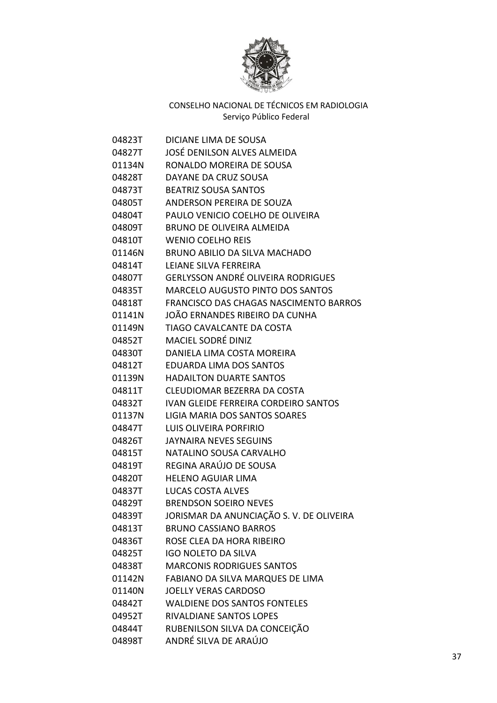

| 04823T | DICIANE LIMA DE SOUSA                     |
|--------|-------------------------------------------|
| 04827T | JOSÉ DENILSON ALVES ALMEIDA               |
| 01134N | RONALDO MOREIRA DE SOUSA                  |
| 04828T | DAYANE DA CRUZ SOUSA                      |
| 04873T | <b>BEATRIZ SOUSA SANTOS</b>               |
| 04805T | ANDERSON PEREIRA DE SOUZA                 |
| 04804T | PAULO VENICIO COELHO DE OLIVEIRA          |
| 04809T | <b>BRUNO DE OLIVEIRA ALMEIDA</b>          |
| 04810T | <b>WENIO COELHO REIS</b>                  |
| 01146N | BRUNO ABILIO DA SILVA MACHADO             |
| 04814T | LEIANE SILVA FERREIRA                     |
| 04807T | <b>GERLYSSON ANDRÉ OLIVEIRA RODRIGUES</b> |
| 04835T | <b>MARCELO AUGUSTO PINTO DOS SANTOS</b>   |
| 04818T | FRANCISCO DAS CHAGAS NASCIMENTO BARROS    |
| 01141N | JOÃO ERNANDES RIBEIRO DA CUNHA            |
| 01149N | TIAGO CAVALCANTE DA COSTA                 |
| 04852T | MACIEL SODRÉ DINIZ                        |
| 04830T | DANIELA LIMA COSTA MOREIRA                |
| 04812T | EDUARDA LIMA DOS SANTOS                   |
| 01139N | <b>HADAILTON DUARTE SANTOS</b>            |
| 04811T | CLEUDIOMAR BEZERRA DA COSTA               |
| 04832T | IVAN GLEIDE FERREIRA CORDEIRO SANTOS      |
| 01137N | LIGIA MARIA DOS SANTOS SOARES             |
| 04847T | LUIS OLIVEIRA PORFIRIO                    |
| 04826T | JAYNAIRA NEVES SEGUINS                    |
| 04815T | NATALINO SOUSA CARVALHO                   |
| 04819T | REGINA ARAÚJO DE SOUSA                    |
| 04820T | <b>HELENO AGUIAR LIMA</b>                 |
| 04837T | <b>LUCAS COSTA ALVES</b>                  |
| 04829T | <b>BRENDSON SOEIRO NEVES</b>              |
| 04839T | JORISMAR DA ANUNCIAÇÃO S.V. DE OLIVEIRA   |
| 04813T | <b>BRUNO CASSIANO BARROS</b>              |
| 04836T | ROSE CLEA DA HORA RIBEIRO                 |
| 04825T | <b>IGO NOLETO DA SILVA</b>                |
| 04838T | <b>MARCONIS RODRIGUES SANTOS</b>          |
| 01142N | FABIANO DA SILVA MARQUES DE LIMA          |
| 01140N | <b>JOELLY VERAS CARDOSO</b>               |
| 04842T | <b>WALDIENE DOS SANTOS FONTELES</b>       |
| 04952T | RIVALDIANE SANTOS LOPES                   |
| 04844T | RUBENILSON SILVA DA CONCEIÇÃO             |
| 04898T | ANDRÉ SILVA DE ARAÚJO                     |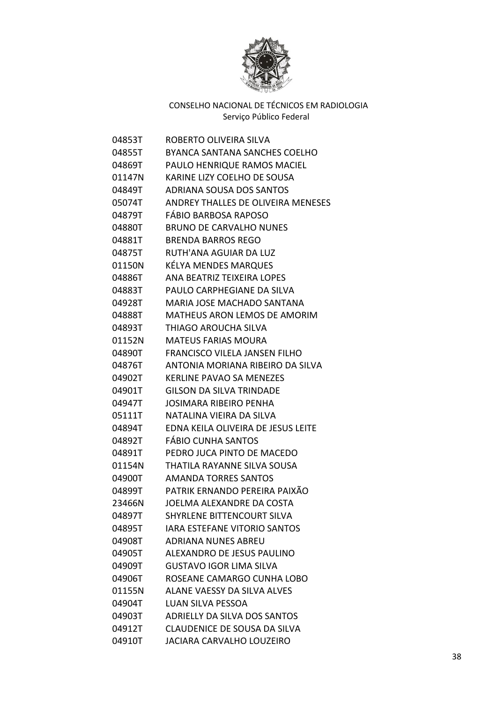

| 04853T | ROBERTO OLIVEIRA SILVA              |
|--------|-------------------------------------|
| 04855T | BYANCA SANTANA SANCHES COELHO       |
| 04869T | PAULO HENRIQUE RAMOS MACIEL         |
| 01147N | KARINE LIZY COELHO DE SOUSA         |
| 04849T | ADRIANA SOUSA DOS SANTOS            |
| 05074T | ANDREY THALLES DE OLIVEIRA MENESES  |
| 04879T | <b>FÁBIO BARBOSA RAPOSO</b>         |
| 04880T | <b>BRUNO DE CARVALHO NUNES</b>      |
| 04881T | <b>BRENDA BARROS REGO</b>           |
| 04875T | RUTH'ANA AGUIAR DA LUZ              |
| 01150N | KÉLYA MENDES MARQUES                |
| 04886T | ANA BEATRIZ TEIXEIRA LOPES          |
| 04883T | PAULO CARPHEGIANE DA SILVA          |
| 04928T | MARIA JOSE MACHADO SANTANA          |
| 04888T | <b>MATHEUS ARON LEMOS DE AMORIM</b> |
| 04893T | THIAGO AROUCHA SILVA                |
| 01152N | <b>MATEUS FARIAS MOURA</b>          |
| 04890T | FRANCISCO VILELA JANSEN FILHO       |
| 04876T | ANTONIA MORIANA RIBEIRO DA SILVA    |
| 04902T | <b>KERLINE PAVAO SA MENEZES</b>     |
| 04901T | GILSON DA SILVA TRINDADE            |
| 04947T | JOSIMARA RIBEIRO PENHA              |
| 05111T | NATALINA VIEIRA DA SILVA            |
| 04894T | EDNA KEILA OLIVEIRA DE JESUS LEITE  |
| 04892T | FÁBIO CUNHA SANTOS                  |
| 04891T | PEDRO JUCA PINTO DE MACEDO          |
| 01154N | THATILA RAYANNE SILVA SOUSA         |
| 04900T | <b>AMANDA TORRES SANTOS</b>         |
| 04899T | PATRIK ERNANDO PEREIRA PAIXÃO       |
| 23466N | JOELMA ALEXANDRE DA COSTA           |
| 04897T | <b>SHYRLENE BITTENCOURT SILVA</b>   |
| 04895T | IARA ESTEFANE VITORIO SANTOS        |
| 04908T | <b>ADRIANA NUNES ABREU</b>          |
| 04905T | ALEXANDRO DE JESUS PAULINO          |
| 04909T | <b>GUSTAVO IGOR LIMA SILVA</b>      |
| 04906T | ROSEANE CAMARGO CUNHA LOBO          |
| 01155N | ALANE VAESSY DA SILVA ALVES         |
| 04904T | LUAN SILVA PESSOA                   |
| 04903T | ADRIELLY DA SILVA DOS SANTOS        |
| 04912T | <b>CLAUDENICE DE SOUSA DA SILVA</b> |
| 04910T | <b>JACIARA CARVALHO LOUZEIRO</b>    |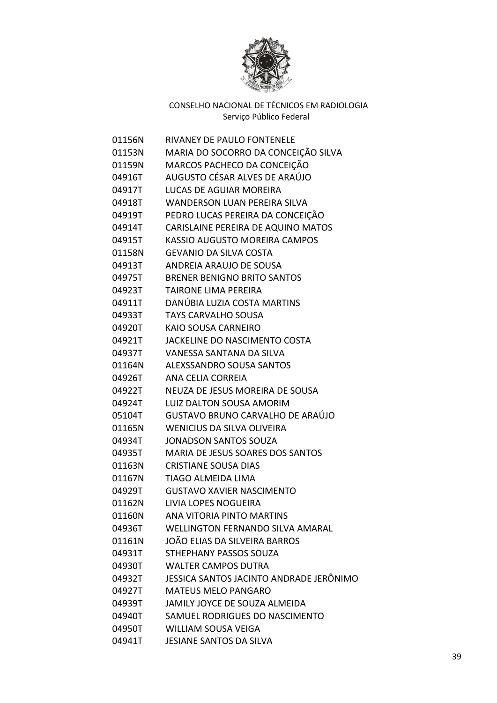

| 01156N | RIVANEY DE PAULO FONTENELE              |
|--------|-----------------------------------------|
| 01153N | MARIA DO SOCORRO DA CONCEIÇÃO SILVA     |
| 01159N | MARCOS PACHECO DA CONCEIÇÃO             |
| 04916T | AUGUSTO CÉSAR ALVES DE ARAÚJO           |
| 04917T | <b>LUCAS DE AGUIAR MOREIRA</b>          |
| 04918T | <b>WANDERSON LUAN PEREIRA SILVA</b>     |
| 04919T | PEDRO LUCAS PEREIRA DA CONCEIÇÃO        |
| 04914T | CARISLAINE PEREIRA DE AQUINO MATOS      |
| 04915T | KASSIO AUGUSTO MOREIRA CAMPOS           |
| 01158N | <b>GEVANIO DA SILVA COSTA</b>           |
| 04913T | ANDREIA ARAUJO DE SOUSA                 |
|        | 04975T BRENER BENIGNO BRITO SANTOS      |
|        | 04923T TAIRONE LIMA PEREIRA             |
|        | 04911T DANÚBIA LUZIA COSTA MARTINS      |
|        | 04933T TAYS CARVALHO SOUSA              |
|        | 04920T KAIO SOUSA CARNEIRO              |
| 04921T | JACKELINE DO NASCIMENTO COSTA           |
|        | 04937T VANESSA SANTANA DA SILVA         |
| 01164N | ALEXSSANDRO SOUSA SANTOS                |
| 04926T | <b>ANA CELIA CORREIA</b>                |
| 04922T | NEUZA DE JESUS MOREIRA DE SOUSA         |
| 04924T | <b>LUIZ DALTON SOUSA AMORIM</b>         |
| 05104T | GUSTAVO BRUNO CARVALHO DE ARAÚJO        |
| 01165N | <b>WENICIUS DA SILVA OLIVEIRA</b>       |
| 04934T | <b>JONADSON SANTOS SOUZA</b>            |
| 04935T | MARIA DE JESUS SOARES DOS SANTOS        |
| 01163N | <b>CRISTIANE SOUSA DIAS</b>             |
| 01167N | TIAGO ALMEIDA LIMA                      |
| 04929T | <b>GUSTAVO XAVIER NASCIMENTO</b>        |
| 01162N | <b>LIVIA LOPES NOGUEIRA</b>             |
| 01160N | ANA VITORIA PINTO MARTINS               |
| 04936T | <b>WELLINGTON FERNANDO SILVA AMARAL</b> |
| 01161N | JOÃO ELIAS DA SILVEIRA BARROS           |
| 04931T | STHEPHANY PASSOS SOUZA                  |
| 04930T | <b>WALTER CAMPOS DUTRA</b>              |
| 04932T | JESSICA SANTOS JACINTO ANDRADE JERÔNIMO |
| 04927T | <b>MATEUS MELO PANGARO</b>              |
| 04939T | JAMILY JOYCE DE SOUZA ALMEIDA           |
| 04940T | SAMUEL RODRIGUES DO NASCIMENTO          |
| 04950T | <b>WILLIAM SOUSA VEIGA</b>              |
| 04941T | JESIANE SANTOS DA SILVA                 |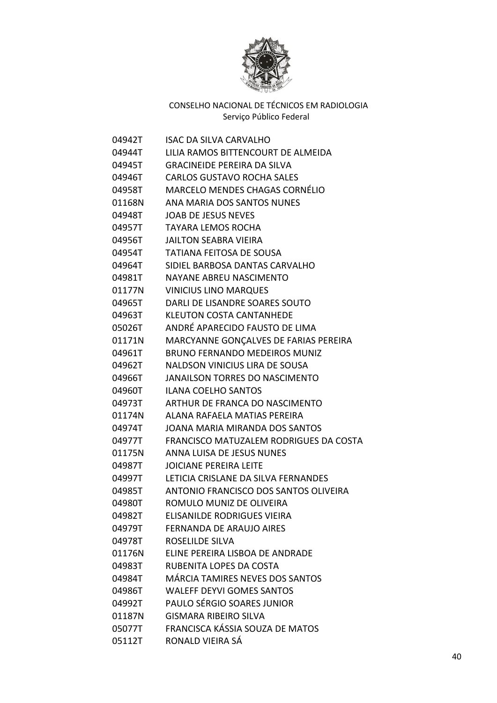

| 04942T | ISAC DA SILVA CARVALHO                 |
|--------|----------------------------------------|
| 04944T | LILIA RAMOS BITTENCOURT DE ALMEIDA     |
| 04945T | <b>GRACINEIDE PEREIRA DA SILVA</b>     |
| 04946T | <b>CARLOS GUSTAVO ROCHA SALES</b>      |
| 04958T | MARCELO MENDES CHAGAS CORNÉLIO         |
| 01168N | ANA MARIA DOS SANTOS NUNES             |
| 04948T | <b>JOAB DE JESUS NEVES</b>             |
| 04957T | <b>TAYARA LEMOS ROCHA</b>              |
| 04956T | <b>JAILTON SEABRA VIEIRA</b>           |
| 04954T | <b>TATIANA FEITOSA DE SOUSA</b>        |
| 04964T | SIDIEL BARBOSA DANTAS CARVALHO         |
| 04981T | NAYANE ABREU NASCIMENTO                |
| 01177N | <b>VINICIUS LINO MARQUES</b>           |
| 04965T | DARLI DE LISANDRE SOARES SOUTO         |
| 04963T | <b>KLEUTON COSTA CANTANHEDE</b>        |
| 05026T | ANDRÉ APARECIDO FAUSTO DE LIMA         |
| 01171N | MARCYANNE GONÇALVES DE FARIAS PEREIRA  |
| 04961T | <b>BRUNO FERNANDO MEDEIROS MUNIZ</b>   |
| 04962T | <b>NALDSON VINICIUS LIRA DE SOUSA</b>  |
| 04966T | <b>JANAILSON TORRES DO NASCIMENTO</b>  |
| 04960T | <b>ILANA COELHO SANTOS</b>             |
| 04973T | ARTHUR DE FRANCA DO NASCIMENTO         |
| 01174N | ALANA RAFAELA MATIAS PEREIRA           |
| 04974T | JOANA MARIA MIRANDA DOS SANTOS         |
| 04977T | FRANCISCO MATUZALEM RODRIGUES DA COSTA |
| 01175N | ANNA LUISA DE JESUS NUNES              |
| 04987T | <b>JOICIANE PEREIRA LEITE</b>          |
| 04997T | LETICIA CRISLANE DA SILVA FERNANDES    |
| 04985T | ANTONIO FRANCISCO DOS SANTOS OLIVEIRA  |
| 04980T | ROMULO MUNIZ DE OLIVEIRA               |
| 04982T | <b>ELISANILDE RODRIGUES VIEIRA</b>     |
| 04979T | <b>FERNANDA DE ARAUJO AIRES</b>        |
| 04978T | ROSELILDE SILVA                        |
| 01176N | ELINE PEREIRA LISBOA DE ANDRADE        |
| 04983T | RUBENITA LOPES DA COSTA                |
| 04984T | <b>MÁRCIA TAMIRES NEVES DOS SANTOS</b> |
| 04986T | <b>WALEFF DEYVI GOMES SANTOS</b>       |
| 04992T | PAULO SÉRGIO SOARES JUNIOR             |
| 01187N | <b>GISMARA RIBEIRO SILVA</b>           |
| 05077T | FRANCISCA KÁSSIA SOUZA DE MATOS        |
| 05112T | RONALD VIEIRA SÁ                       |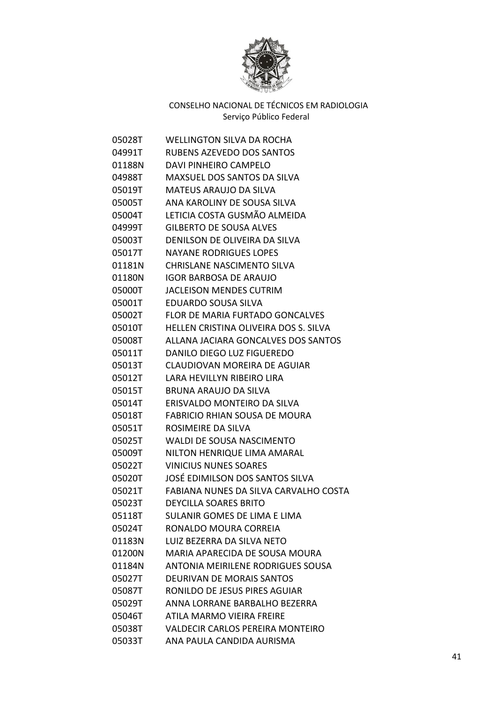

| 05028T | <b>WELLINGTON SILVA DA ROCHA</b>        |
|--------|-----------------------------------------|
| 04991T | RUBENS AZEVEDO DOS SANTOS               |
| 01188N | DAVI PINHEIRO CAMPELO                   |
| 04988T | MAXSUEL DOS SANTOS DA SILVA             |
| 05019T | <b>MATEUS ARAUJO DA SILVA</b>           |
| 05005T | ANA KAROLINY DE SOUSA SILVA             |
| 05004T | LETICIA COSTA GUSMÃO ALMEIDA            |
| 04999T | <b>GILBERTO DE SOUSA ALVES</b>          |
| 05003T | DENILSON DE OLIVEIRA DA SILVA           |
| 05017T | <b>NAYANE RODRIGUES LOPES</b>           |
| 01181N | <b>CHRISLANE NASCIMENTO SILVA</b>       |
| 01180N | <b>IGOR BARBOSA DE ARAUJO</b>           |
| 05000T | <b>JACLEISON MENDES CUTRIM</b>          |
| 05001T | <b>EDUARDO SOUSA SILVA</b>              |
| 05002T | <b>FLOR DE MARIA FURTADO GONCALVES</b>  |
| 05010T | HELLEN CRISTINA OLIVEIRA DOS S. SILVA   |
| 05008T | ALLANA JACIARA GONCALVES DOS SANTOS     |
| 05011T | DANILO DIEGO LUZ FIGUEREDO              |
| 05013T | CLAUDIOVAN MOREIRA DE AGUIAR            |
| 05012T | LARA HEVILLYN RIBEIRO LIRA              |
| 05015T | <b>BRUNA ARAUJO DA SILVA</b>            |
| 05014T | ERISVALDO MONTEIRO DA SILVA             |
| 05018T | <b>FABRICIO RHIAN SOUSA DE MOURA</b>    |
| 05051T | ROSIMEIRE DA SILVA                      |
| 05025T | <b>WALDI DE SOUSA NASCIMENTO</b>        |
| 05009T | NILTON HENRIQUE LIMA AMARAL             |
| 05022T | <b>VINICIUS NUNES SOARES</b>            |
| 05020T | JOSÉ EDIMILSON DOS SANTOS SILVA         |
| 05021T | FABIANA NUNES DA SILVA CARVALHO COSTA   |
| 05023T | DEYCILLA SOARES BRITO                   |
| 05118T | SULANIR GOMES DE LIMA E LIMA            |
| 05024T | RONALDO MOURA CORREIA                   |
| 01183N | LUIZ BEZERRA DA SILVA NETO              |
| 01200N | MARIA APARECIDA DE SOUSA MOURA          |
| 01184N | ANTONIA MEIRILENE RODRIGUES SOUSA       |
| 05027T | <b>DEURIVAN DE MORAIS SANTOS</b>        |
| 05087T | RONILDO DE JESUS PIRES AGUIAR           |
| 05029T | ANNA LORRANE BARBALHO BEZERRA           |
| 05046T | ATILA MARMO VIEIRA FREIRE               |
| 05038T | <b>VALDECIR CARLOS PEREIRA MONTEIRO</b> |
| 05033T | ANA PAULA CANDIDA AURISMA               |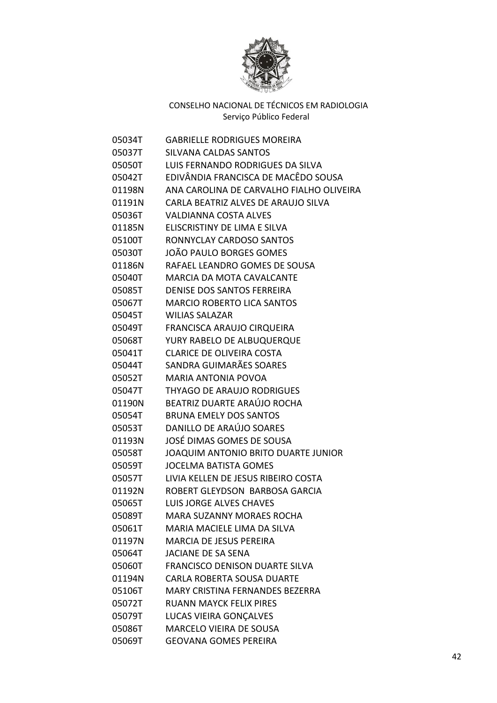

| 05034T | <b>GABRIELLE RODRIGUES MOREIRA</b>       |
|--------|------------------------------------------|
| 05037T | <b>SILVANA CALDAS SANTOS</b>             |
| 05050T | LUIS FERNANDO RODRIGUES DA SILVA         |
| 05042T | EDIVÂNDIA FRANCISCA DE MACÊDO SOUSA      |
| 01198N | ANA CAROLINA DE CARVALHO FIALHO OLIVEIRA |
| 01191N | CARLA BEATRIZ ALVES DE ARAUJO SILVA      |
| 05036T | <b>VALDIANNA COSTA ALVES</b>             |
| 01185N | ELISCRISTINY DE LIMA E SILVA             |
| 05100T | RONNYCLAY CARDOSO SANTOS                 |
| 05030T | JOÃO PAULO BORGES GOMES                  |
| 01186N | RAFAEL LEANDRO GOMES DE SOUSA            |
| 05040T | MARCIA DA MOTA CAVALCANTE                |
| 05085T | DENISE DOS SANTOS FERREIRA               |
| 05067T | <b>MARCIO ROBERTO LICA SANTOS</b>        |
| 05045T | <b>WILIAS SALAZAR</b>                    |
| 05049T | FRANCISCA ARAUJO CIRQUEIRA               |
| 05068T | YURY RABELO DE ALBUQUERQUE               |
| 05041T | <b>CLARICE DE OLIVEIRA COSTA</b>         |
| 05044T | SANDRA GUIMARÃES SOARES                  |
| 05052T | <b>MARIA ANTONIA POVOA</b>               |
| 05047T | THYAGO DE ARAUJO RODRIGUES               |
| 01190N | BEATRIZ DUARTE ARAÚJO ROCHA              |
| 05054T | <b>BRUNA EMELY DOS SANTOS</b>            |
| 05053T | DANILLO DE ARAÚJO SOARES                 |
| 01193N | JOSÉ DIMAS GOMES DE SOUSA                |
| 05058T | JOAQUIM ANTONIO BRITO DUARTE JUNIOR      |
| 05059T | <b>JOCELMA BATISTA GOMES</b>             |
| 05057T | LIVIA KELLEN DE JESUS RIBEIRO COSTA      |
| 01192N | ROBERT GLEYDSON BARBOSA GARCIA           |
| 05065T | <b>LUIS JORGE ALVES CHAVES</b>           |
| 05089T | <b>MARA SUZANNY MORAES ROCHA</b>         |
| 05061T | <b>MARIA MACIELE LIMA DA SILVA</b>       |
| 01197N | <b>MARCIA DE JESUS PEREIRA</b>           |
| 05064T | JACIANE DE SA SENA                       |
| 05060T | <b>FRANCISCO DENISON DUARTE SILVA</b>    |
| 01194N | CARLA ROBERTA SOUSA DUARTE               |
| 05106T | MARY CRISTINA FERNANDES BEZERRA          |
| 05072T | <b>RUANN MAYCK FELIX PIRES</b>           |
| 05079T | LUCAS VIEIRA GONÇALVES                   |
| 05086T | MARCELO VIEIRA DE SOUSA                  |
| 05069T | <b>GEOVANA GOMES PEREIRA</b>             |
|        |                                          |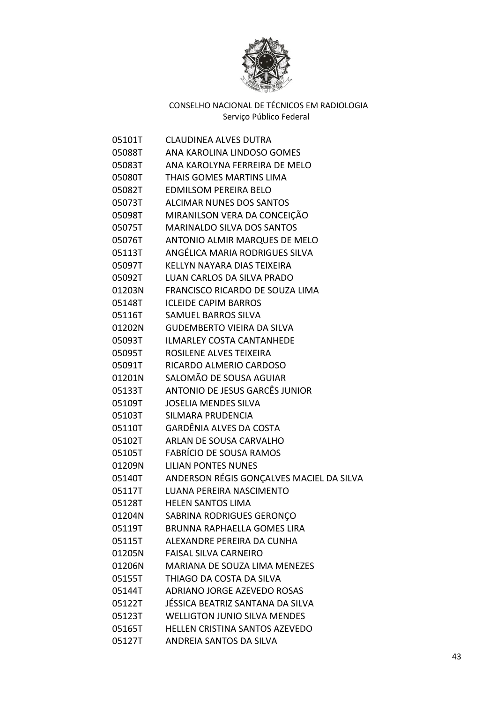

| 05101T | <b>CLAUDINEA ALVES DUTRA</b>             |
|--------|------------------------------------------|
| 05088T | ANA KAROLINA LINDOSO GOMES               |
| 05083T | ANA KAROLYNA FERREIRA DE MELO            |
| 05080T | THAIS GOMES MARTINS LIMA                 |
| 05082T | <b>EDMILSOM PEREIRA BELO</b>             |
| 05073T | <b>ALCIMAR NUNES DOS SANTOS</b>          |
| 05098T | MIRANILSON VERA DA CONCEIÇÃO             |
| 05075T | <b>MARINALDO SILVA DOS SANTOS</b>        |
| 05076T | <b>ANTONIO ALMIR MARQUES DE MELO</b>     |
| 05113T | ANGÉLICA MARIA RODRIGUES SILVA           |
| 05097T | KELLYN NAYARA DIAS TEIXEIRA              |
| 05092T | LUAN CARLOS DA SILVA PRADO               |
| 01203N | FRANCISCO RICARDO DE SOUZA LIMA          |
| 05148T | <b>ICLEIDE CAPIM BARROS</b>              |
| 05116T | <b>SAMUEL BARROS SILVA</b>               |
| 01202N | <b>GUDEMBERTO VIEIRA DA SILVA</b>        |
| 05093T | <b>ILMARLEY COSTA CANTANHEDE</b>         |
| 05095T | ROSILENE ALVES TEIXEIRA                  |
| 05091T | RICARDO ALMERIO CARDOSO                  |
| 01201N | SALOMÃO DE SOUSA AGUIAR                  |
| 05133T | ANTONIO DE JESUS GARCÊS JUNIOR           |
| 05109T | <b>JOSELIA MENDES SILVA</b>              |
| 05103T | <b>SILMARA PRUDENCIA</b>                 |
| 05110T | <b>GARDÊNIA ALVES DA COSTA</b>           |
| 05102T | ARLAN DE SOUSA CARVALHO                  |
| 05105T | <b>FABRÍCIO DE SOUSA RAMOS</b>           |
| 01209N | <b>LILIAN PONTES NUNES</b>               |
| 05140T | ANDERSON RÉGIS GONÇALVES MACIEL DA SILVA |
| 05117T | LUANA PEREIRA NASCIMENTO                 |
| 05128T | <b>HELEN SANTOS LIMA</b>                 |
| 01204N | SABRINA RODRIGUES GERONÇO                |
| 05119T | <b>BRUNNA RAPHAELLA GOMES LIRA</b>       |
| 05115T | ALEXANDRE PEREIRA DA CUNHA               |
| 01205N | <b>FAISAL SILVA CARNEIRO</b>             |
| 01206N | MARIANA DE SOUZA LIMA MENEZES            |
| 05155T | THIAGO DA COSTA DA SILVA                 |
| 05144T | ADRIANO JORGE AZEVEDO ROSAS              |
| 05122T | JÉSSICA BEATRIZ SANTANA DA SILVA         |
| 05123T | <b>WELLIGTON JUNIO SILVA MENDES</b>      |
| 05165T | HELLEN CRISTINA SANTOS AZEVEDO           |
| 05127T | ANDREIA SANTOS DA SILVA                  |